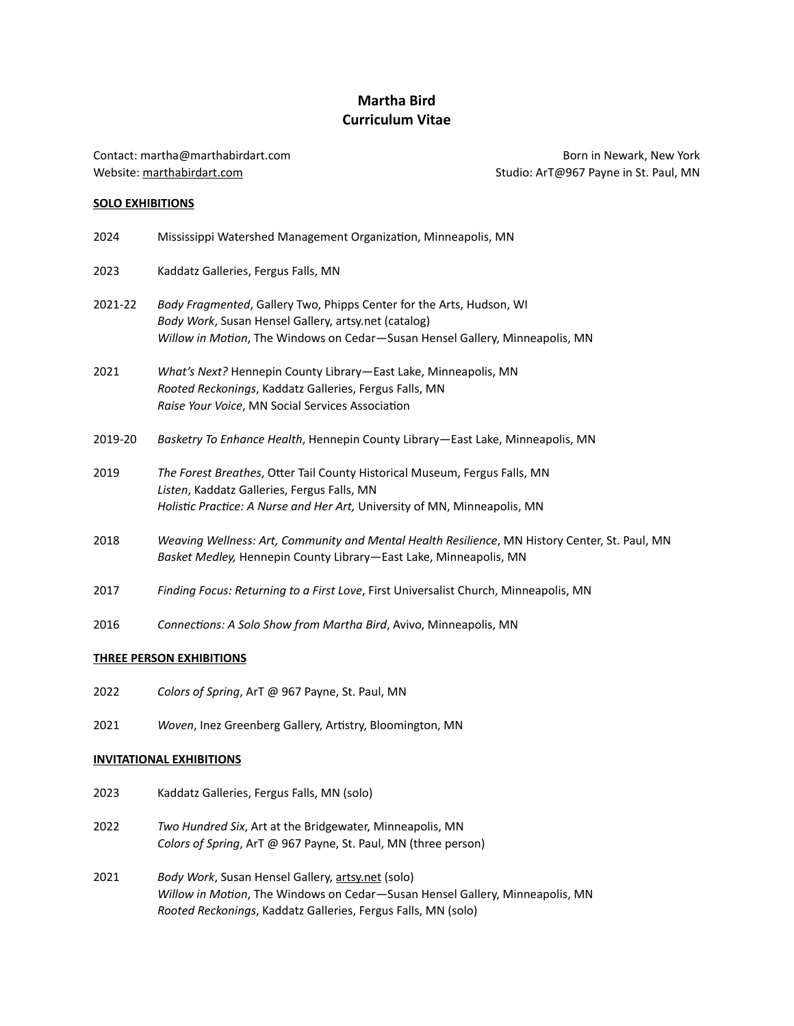# **Martha Bird Curriculum Vitae**

Contact: [martha@marthabirdart.com](mailto:marthabirdart@gmail.com) Website: [marthabirdart.com](http://marthabirdart.com)

Born in Newark, New York Studio: ArT@967 Payne in St. Paul, MN

## **SOLO EXHIBITIONS**

| 2024    | Mississippi Watershed Management Organization, Minneapolis, MN                                                                                                                                               |
|---------|--------------------------------------------------------------------------------------------------------------------------------------------------------------------------------------------------------------|
| 2023    | Kaddatz Galleries, Fergus Falls, MN                                                                                                                                                                          |
| 2021-22 | Body Fragmented, Gallery Two, Phipps Center for the Arts, Hudson, WI<br>Body Work, Susan Hensel Gallery, artsy.net (catalog)<br>Willow in Motion, The Windows on Cedar-Susan Hensel Gallery, Minneapolis, MN |
| 2021    | What's Next? Hennepin County Library-East Lake, Minneapolis, MN<br>Rooted Reckonings, Kaddatz Galleries, Fergus Falls, MN<br>Raise Your Voice, MN Social Services Association                                |
| 2019-20 | Basketry To Enhance Health, Hennepin County Library-East Lake, Minneapolis, MN                                                                                                                               |
| 2019    | The Forest Breathes, Otter Tail County Historical Museum, Fergus Falls, MN<br>Listen, Kaddatz Galleries, Fergus Falls, MN<br>Holistic Practice: A Nurse and Her Art, University of MN, Minneapolis, MN       |
| 2018    | Weaving Wellness: Art, Community and Mental Health Resilience, MN History Center, St. Paul, MN<br>Basket Medley, Hennepin County Library-East Lake, Minneapolis, MN                                          |
| 2017    | Finding Focus: Returning to a First Love, First Universalist Church, Minneapolis, MN                                                                                                                         |
| 2016    | Connections: A Solo Show from Martha Bird, Avivo, Minneapolis, MN                                                                                                                                            |

### **THREE PERSON EXHIBITIONS**

- 2022 *Colors of Spring*, ArT @ 967 Payne, St. Paul, MN
- 2021 *Woven*, Inez Greenberg Gallery, Artistry, Bloomington, MN

### **INVITATIONAL EXHIBITIONS**

- 2023 Kaddatz Galleries, Fergus Falls, MN (solo)
- 2022 *Two Hundred Six*, Art at the Bridgewater, Minneapolis, MN *Colors of Spring*, ArT @ 967 Payne, St. Paul, MN (three person)
- 2021 *Body Work*, Susan Hensel Gallery, [artsy.net](http://artsy.net) (solo) *Willow in Motion*, The Windows on Cedar—Susan Hensel Gallery, Minneapolis, MN *Rooted Reckonings*, Kaddatz Galleries, Fergus Falls, MN (solo)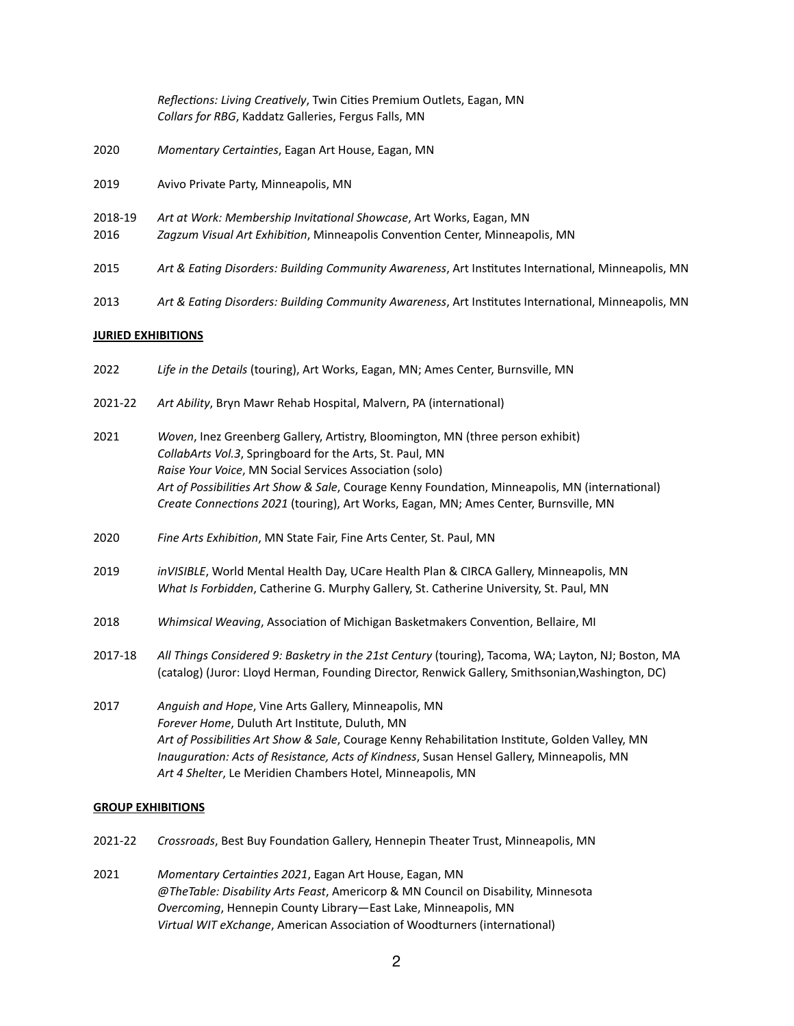|                 | Reflections: Living Creatively, Twin Cities Premium Outlets, Eagan, MN<br>Collars for RBG, Kaddatz Galleries, Fergus Falls, MN                      |
|-----------------|-----------------------------------------------------------------------------------------------------------------------------------------------------|
| 2020            | Momentary Certainties, Eagan Art House, Eagan, MN                                                                                                   |
| 2019            | Avivo Private Party, Minneapolis, MN                                                                                                                |
| 2018-19<br>2016 | Art at Work: Membership Invitational Showcase, Art Works, Eagan, MN<br>Zagzum Visual Art Exhibition, Minneapolis Convention Center, Minneapolis, MN |
| 2015            | Art & Eating Disorders: Building Community Awareness, Art Institutes International, Minneapolis, MN                                                 |
| 2013            | Art & Eating Disorders: Building Community Awareness, Art Institutes International, Minneapolis, MN                                                 |

#### **JURIED EXHIBITIONS**

- 2022 *Life in the Details* (touring), Art Works, Eagan, MN; Ames Center, Burnsville, MN
- 2021-22 *Art Ability*, Bryn Mawr Rehab Hospital, Malvern, PA (international)
- 2021 *Woven*, Inez Greenberg Gallery, Artistry, Bloomington, MN (three person exhibit) *CollabArts Vol.3*, Springboard for the Arts, St. Paul, MN *Raise Your Voice*, MN Social Services Association (solo) *Art of Possibilities Art Show & Sale*, Courage Kenny Foundation, Minneapolis, MN (international) *Create Connections 2021* (touring), Art Works, Eagan, MN; Ames Center, Burnsville, MN
- 2020 *Fine Arts Exhibition*, MN State Fair, Fine Arts Center, St. Paul, MN
- 2019 *inVISIBLE*, World Mental Health Day, UCare Health Plan & CIRCA Gallery, Minneapolis, MN *What Is Forbidden*, Catherine G. Murphy Gallery, St. Catherine University, St. Paul, MN
- 2018 *Whimsical Weaving*, Association of Michigan Basketmakers Convention, Bellaire, MI
- 2017-18 *All Things Considered 9: Basketry in the 21st Century* (touring), Tacoma, WA; Layton, NJ; Boston, MA (catalog) (Juror: Lloyd Herman, Founding Director, Renwick Gallery, Smithsonian,Washington, DC)
- 2017 *Anguish and Hope*, Vine Arts Gallery, Minneapolis, MN *Forever Home*, Duluth Art Institute, Duluth, MN *Art of Possibilities Art Show & Sale*, Courage Kenny Rehabilitation Institute, Golden Valley, MN *Inauguration: Acts of Resistance, Acts of Kindness*, Susan Hensel Gallery, Minneapolis, MN *Art 4 Shelter*, Le Meridien Chambers Hotel, Minneapolis, MN

#### **GROUP EXHIBITIONS**

- 2021-22 *Crossroads*, Best Buy Foundation Gallery, Hennepin Theater Trust, Minneapolis, MN
- 2021 *Momentary Certainties 2021*, Eagan Art House, Eagan, MN *@TheTable: Disability Arts Feast*, Americorp & MN Council on Disability, Minnesota *Overcoming*, Hennepin County Library—East Lake, Minneapolis, MN *Virtual WIT eXchange*, American Association of Woodturners (international)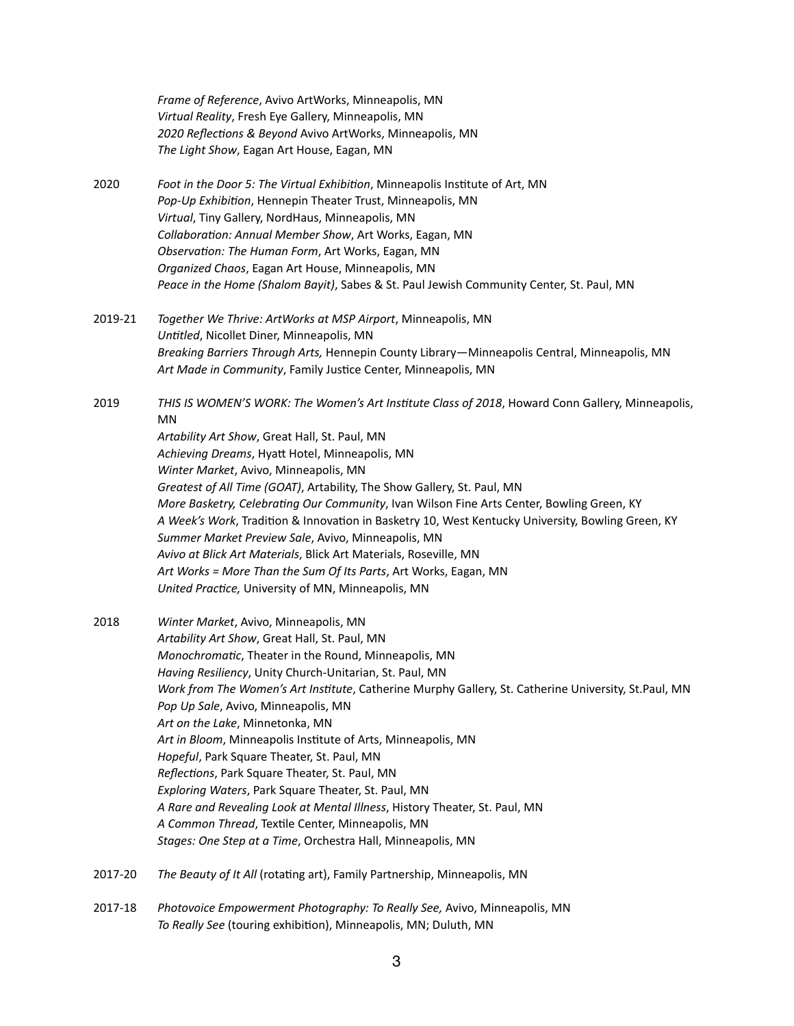*Frame of Reference*, Avivo ArtWorks, Minneapolis, MN *Virtual Reality*, Fresh Eye Gallery, Minneapolis, MN *2020 Reflections & Beyond* Avivo ArtWorks, Minneapolis, MN *The Light Show*, Eagan Art House, Eagan, MN

- 2020 *Foot in the Door 5: The Virtual Exhibition*, Minneapolis Institute of Art, MN *Pop-Up Exhibition*, Hennepin Theater Trust, Minneapolis, MN *Virtual*, Tiny Gallery, NordHaus, Minneapolis, MN *Collaboration: Annual Member Show*, Art Works, Eagan, MN *Observation: The Human Form*, Art Works, Eagan, MN *Organized Chaos*, Eagan Art House, Minneapolis, MN *Peace in the Home (Shalom Bayit)*, Sabes & St. Paul Jewish Community Center, St. Paul, MN
- 2019-21 *Together We Thrive: ArtWorks at MSP Airport*, Minneapolis, MN *Untitled*, Nicollet Diner, Minneapolis, MN *Breaking Barriers Through Arts,* Hennepin County Library—Minneapolis Central, Minneapolis, MN *Art Made in Community*, Family Justice Center, Minneapolis, MN
- 2019 *THIS IS WOMEN'S WORK: The Women's Art Institute Class of 2018*, Howard Conn Gallery, Minneapolis, MN *Artability Art Show*, Great Hall, St. Paul, MN *Achieving Dreams*, Hyatt Hotel, Minneapolis, MN *Winter Market*, Avivo, Minneapolis, MN *Greatest of All Time (GOAT)*, Artability, The Show Gallery, St. Paul, MN *More Basketry, Celebrating Our Community*, Ivan Wilson Fine Arts Center, Bowling Green, KY *A Week's Work*, Tradition & Innovation in Basketry 10, West Kentucky University, Bowling Green, KY *Summer Market Preview Sale*, Avivo, Minneapolis, MN *Avivo at Blick Art Materials*, Blick Art Materials, Roseville, MN *Art Works = More Than the Sum Of Its Parts*, Art Works, Eagan, MN *United Practice,* University of MN, Minneapolis, MN
- 2018 *Winter Market*, Avivo, Minneapolis, MN *Artability Art Show*, Great Hall, St. Paul, MN *Monochromatic*, Theater in the Round, Minneapolis, MN *Having Resiliency*, Unity Church-Unitarian, St. Paul, MN *Work from The Women's Art Institute*, Catherine Murphy Gallery, St. Catherine University, St.Paul, MN *Pop Up Sale*, Avivo, Minneapolis, MN *Art on the Lake*, Minnetonka, MN *Art in Bloom*, Minneapolis Institute of Arts, Minneapolis, MN *Hopeful*, Park Square Theater, St. Paul, MN *Reflections*, Park Square Theater, St. Paul, MN *Exploring Waters*, Park Square Theater, St. Paul, MN *A Rare and Revealing Look at Mental Illness*, History Theater, St. Paul, MN *A Common Thread*, Textile Center, Minneapolis, MN *Stages: One Step at a Time*, Orchestra Hall, Minneapolis, MN
- 2017-20 *The Beauty of It All* (rotating art), Family Partnership, Minneapolis, MN
- 2017-18 *Photovoice Empowerment Photography: To Really See,* Avivo, Minneapolis, MN *To Really See* (touring exhibition), Minneapolis, MN; Duluth, MN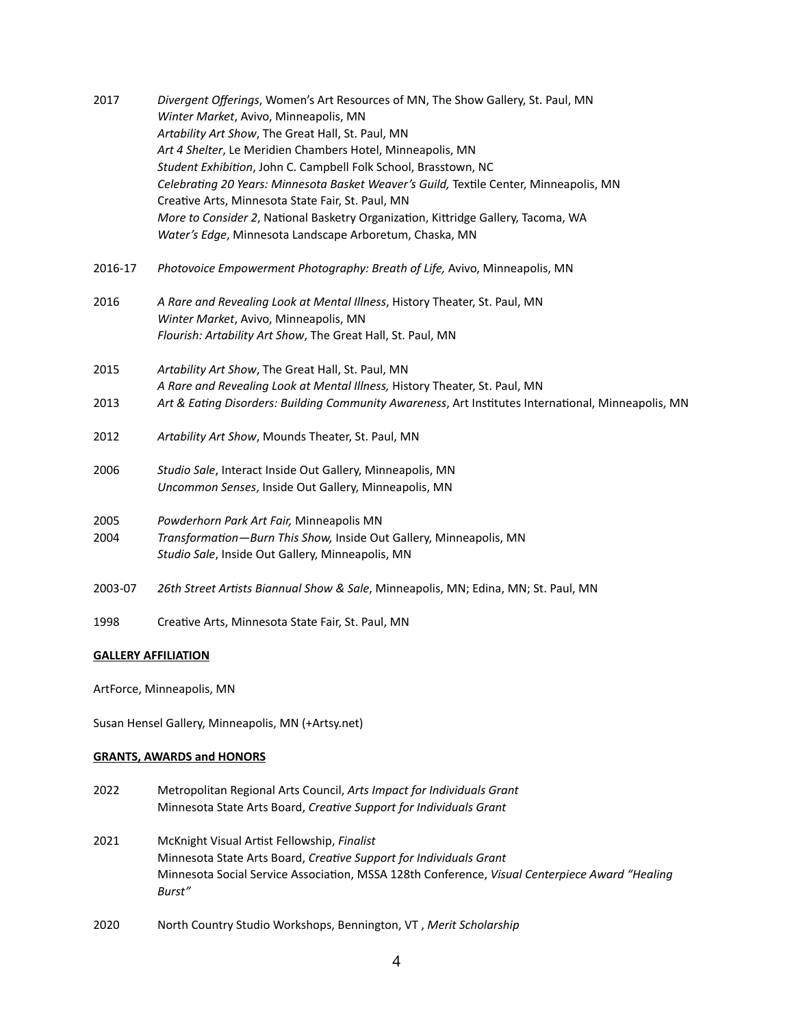| 2017    | Divergent Offerings, Women's Art Resources of MN, The Show Gallery, St. Paul, MN<br>Winter Market, Avivo, Minneapolis, MN |
|---------|---------------------------------------------------------------------------------------------------------------------------|
|         | Artability Art Show, The Great Hall, St. Paul, MN                                                                         |
|         | Art 4 Shelter, Le Meridien Chambers Hotel, Minneapolis, MN                                                                |
|         | Student Exhibition, John C. Campbell Folk School, Brasstown, NC                                                           |
|         | Celebrating 20 Years: Minnesota Basket Weaver's Guild, Textile Center, Minneapolis, MN                                    |
|         | Creative Arts, Minnesota State Fair, St. Paul, MN                                                                         |
|         | More to Consider 2, National Basketry Organization, Kittridge Gallery, Tacoma, WA                                         |
|         | Water's Edge, Minnesota Landscape Arboretum, Chaska, MN                                                                   |
| 2016-17 | Photovoice Empowerment Photography: Breath of Life, Avivo, Minneapolis, MN                                                |
| 2016    | A Rare and Revealing Look at Mental Illness, History Theater, St. Paul, MN                                                |
|         | Winter Market, Avivo, Minneapolis, MN                                                                                     |
|         | Flourish: Artability Art Show, The Great Hall, St. Paul, MN                                                               |
| 2015    | Artability Art Show, The Great Hall, St. Paul, MN                                                                         |
|         | A Rare and Revealing Look at Mental Illness, History Theater, St. Paul, MN                                                |
| 2013    | Art & Eating Disorders: Building Community Awareness, Art Institutes International, Minneapolis, MN                       |
| 2012    | Artability Art Show, Mounds Theater, St. Paul, MN                                                                         |
| 2006    | Studio Sale, Interact Inside Out Gallery, Minneapolis, MN                                                                 |
|         | Uncommon Senses, Inside Out Gallery, Minneapolis, MN                                                                      |
| 2005    | Powderhorn Park Art Fair, Minneapolis MN                                                                                  |
| 2004    | Transformation-Burn This Show, Inside Out Gallery, Minneapolis, MN                                                        |
|         | Studio Sale, Inside Out Gallery, Minneapolis, MN                                                                          |
| 2003-07 | 26th Street Artists Biannual Show & Sale, Minneapolis, MN; Edina, MN; St. Paul, MN                                        |
| 1998    | Creative Arts, Minnesota State Fair, St. Paul, MN                                                                         |

## **GALLERY AFFILIATION**

ArtForce, Minneapolis, MN

Susan Hensel Gallery, Minneapolis, MN (+Artsy.net)

## **GRANTS, AWARDS and HONORS**

- 2022 Metropolitan Regional Arts Council, *Arts Impact for Individuals Grant* Minnesota State Arts Board, *Creative Support for Individuals Grant*
- 2021 McKnight Visual Artist Fellowship, *Finalist* Minnesota State Arts Board, *Creative Support for Individuals Grant* Minnesota Social Service Association, MSSA 128th Conference, *Visual Centerpiece Award "Healing Burst"*
- 2020 North Country Studio Workshops, Bennington, VT , *Merit Scholarship*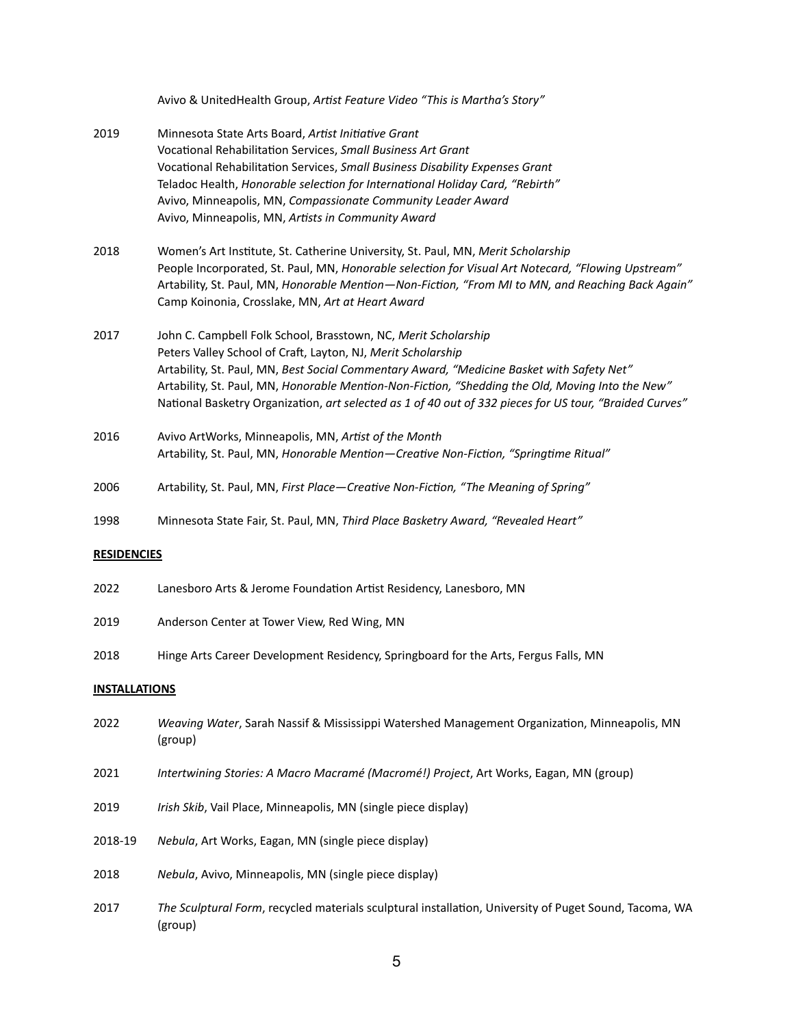| Avivo & UnitedHealth Group, Artist Feature Video "This is Martha's Story" |  |
|---------------------------------------------------------------------------|--|
|---------------------------------------------------------------------------|--|

| 2019                 | Minnesota State Arts Board, Artist Initiative Grant<br>Vocational Rehabilitation Services, Small Business Art Grant<br>Vocational Rehabilitation Services, Small Business Disability Expenses Grant<br>Teladoc Health, Honorable selection for International Holiday Card, "Rebirth"<br>Avivo, Minneapolis, MN, Compassionate Community Leader Award<br>Avivo, Minneapolis, MN, Artists in Community Award                                 |  |
|----------------------|--------------------------------------------------------------------------------------------------------------------------------------------------------------------------------------------------------------------------------------------------------------------------------------------------------------------------------------------------------------------------------------------------------------------------------------------|--|
| 2018                 | Women's Art Institute, St. Catherine University, St. Paul, MN, Merit Scholarship<br>People Incorporated, St. Paul, MN, Honorable selection for Visual Art Notecard, "Flowing Upstream"<br>Artability, St. Paul, MN, Honorable Mention-Non-Fiction, "From MI to MN, and Reaching Back Again"<br>Camp Koinonia, Crosslake, MN, Art at Heart Award                                                                                            |  |
| 2017                 | John C. Campbell Folk School, Brasstown, NC, Merit Scholarship<br>Peters Valley School of Craft, Layton, NJ, Merit Scholarship<br>Artability, St. Paul, MN, Best Social Commentary Award, "Medicine Basket with Safety Net"<br>Artability, St. Paul, MN, Honorable Mention-Non-Fiction, "Shedding the Old, Moving Into the New"<br>National Basketry Organization, art selected as 1 of 40 out of 332 pieces for US tour, "Braided Curves" |  |
| 2016                 | Avivo ArtWorks, Minneapolis, MN, Artist of the Month<br>Artability, St. Paul, MN, Honorable Mention-Creative Non-Fiction, "Springtime Ritual"                                                                                                                                                                                                                                                                                              |  |
| 2006                 | Artability, St. Paul, MN, First Place-Creative Non-Fiction, "The Meaning of Spring"                                                                                                                                                                                                                                                                                                                                                        |  |
| 1998                 | Minnesota State Fair, St. Paul, MN, Third Place Basketry Award, "Revealed Heart"                                                                                                                                                                                                                                                                                                                                                           |  |
| <b>RESIDENCIES</b>   |                                                                                                                                                                                                                                                                                                                                                                                                                                            |  |
| 2022                 | Lanesboro Arts & Jerome Foundation Artist Residency, Lanesboro, MN                                                                                                                                                                                                                                                                                                                                                                         |  |
| 2019                 | Anderson Center at Tower View, Red Wing, MN                                                                                                                                                                                                                                                                                                                                                                                                |  |
| 2018                 | Hinge Arts Career Development Residency, Springboard for the Arts, Fergus Falls, MN                                                                                                                                                                                                                                                                                                                                                        |  |
| <b>INSTALLATIONS</b> |                                                                                                                                                                                                                                                                                                                                                                                                                                            |  |
| 2022                 | Weaving Water, Sarah Nassif & Mississippi Watershed Management Organization, Minneapolis, MN<br>(group)                                                                                                                                                                                                                                                                                                                                    |  |
| 2021                 | Intertwining Stories: A Macro Macramé (Macromé!) Project, Art Works, Eagan, MN (group)                                                                                                                                                                                                                                                                                                                                                     |  |
| 2019                 | Irish Skib, Vail Place, Minneapolis, MN (single piece display)                                                                                                                                                                                                                                                                                                                                                                             |  |
| 2018-19              | Nebula, Art Works, Eagan, MN (single piece display)                                                                                                                                                                                                                                                                                                                                                                                        |  |
| 2018                 | Nebula, Avivo, Minneapolis, MN (single piece display)                                                                                                                                                                                                                                                                                                                                                                                      |  |

2017 *The Sculptural Form*, recycled materials sculptural installation, University of Puget Sound, Tacoma, WA (group)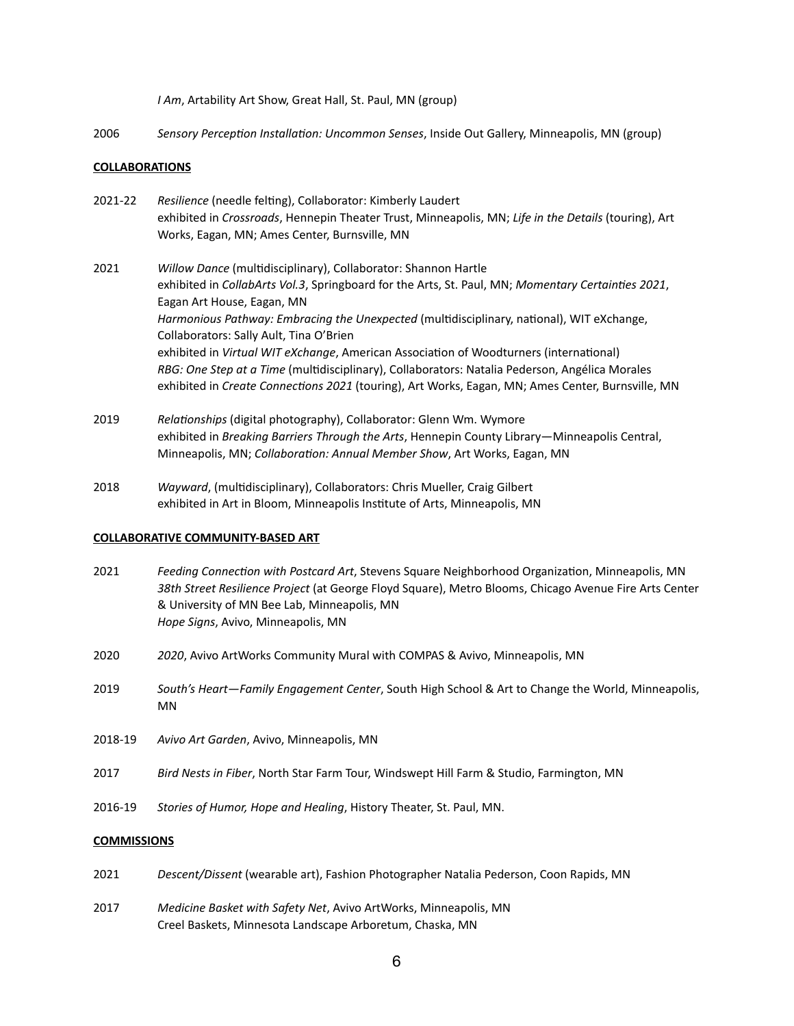*I Am*, Artability Art Show, Great Hall, St. Paul, MN (group)

2006 *Sensory Perception Installation: Uncommon Senses*, Inside Out Gallery, Minneapolis, MN (group)

#### **COLLABORATIONS**

- 2021-22 *Resilience* (needle felting), Collaborator: Kimberly Laudert exhibited in *Crossroads*, Hennepin Theater Trust, Minneapolis, MN; *Life in the Details* (touring), Art Works, Eagan, MN; Ames Center, Burnsville, MN
- 2021 *Willow Dance* (multidisciplinary), Collaborator: Shannon Hartle exhibited in *CollabArts Vol.3*, Springboard for the Arts, St. Paul, MN; *Momentary Certainties 2021*, Eagan Art House, Eagan, MN *Harmonious Pathway: Embracing the Unexpected* (multidisciplinary, national), WIT eXchange, Collaborators: Sally Ault, Tina O'Brien exhibited in *Virtual WIT eXchange*, American Association of Woodturners (international) *RBG: One Step at a Time* (multidisciplinary), Collaborators: Natalia Pederson, Angélica Morales exhibited in *Create Connections 2021* (touring), Art Works, Eagan, MN; Ames Center, Burnsville, MN
- 2019 *Relationships* (digital photography), Collaborator: Glenn Wm. Wymore exhibited in *Breaking Barriers Through the Arts*, Hennepin County Library—Minneapolis Central, Minneapolis, MN; *Collaboration: Annual Member Show*, Art Works, Eagan, MN
- 2018 *Wayward*, (multidisciplinary), Collaborators: Chris Mueller, Craig Gilbert exhibited in Art in Bloom, Minneapolis Institute of Arts, Minneapolis, MN

#### **COLLABORATIVE COMMUNITY-BASED ART**

- 2021 *Feeding Connection with Postcard Art*, Stevens Square Neighborhood Organization, Minneapolis, MN *38th Street Resilience Project* (at George Floyd Square), Metro Blooms, Chicago Avenue Fire Arts Center & University of MN Bee Lab, Minneapolis, MN *Hope Signs*, Avivo, Minneapolis, MN
- 2020 *2020*, Avivo ArtWorks Community Mural with COMPAS & Avivo, Minneapolis, MN
- 2019 *South's Heart—Family Engagement Center*, South High School & Art to Change the World, Minneapolis, MN
- 2018-19 *Avivo Art Garden*, Avivo, Minneapolis, MN
- 2017 *Bird Nests in Fiber*, North Star Farm Tour, Windswept Hill Farm & Studio, Farmington, MN
- 2016-19 *Stories of Humor, Hope and Healing*, History Theater, St. Paul, MN.

## **COMMISSIONS**

- 2021 *Descent/Dissent* (wearable art), Fashion Photographer Natalia Pederson, Coon Rapids, MN
- 2017 *Medicine Basket with Safety Net*, Avivo ArtWorks, Minneapolis, MN Creel Baskets, Minnesota Landscape Arboretum, Chaska, MN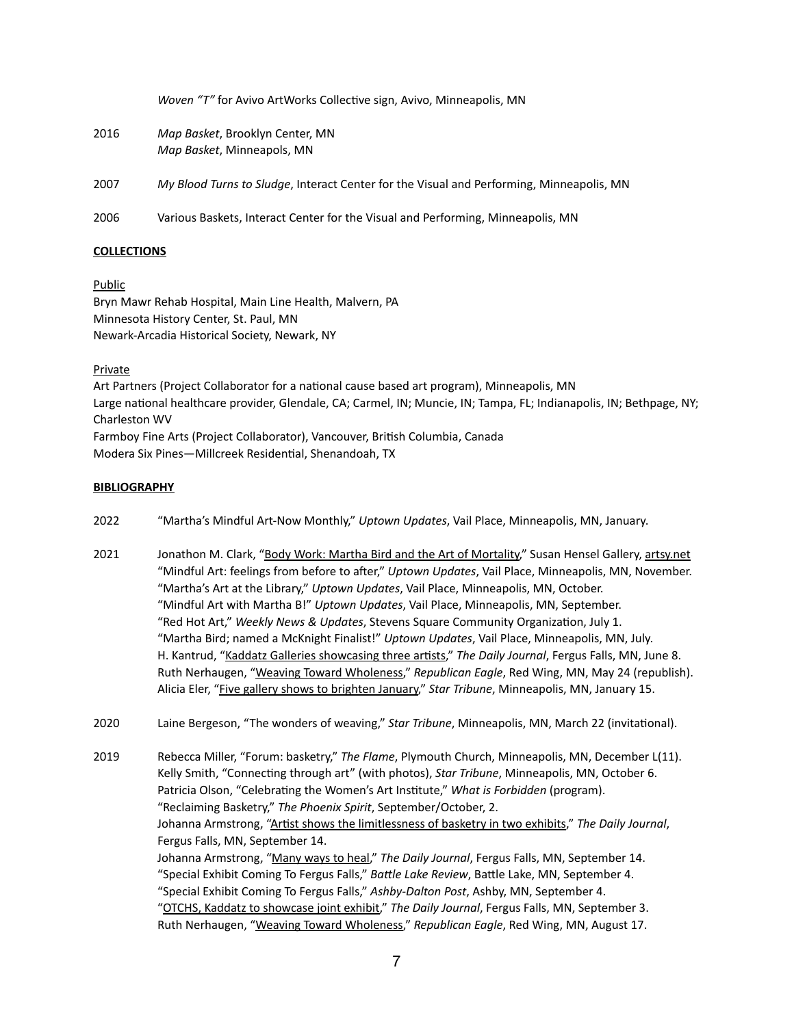*Woven "T"* for Avivo ArtWorks Collective sign, Avivo, Minneapolis, MN

2016 *Map Basket*, Brooklyn Center, MN *Map Basket*, Minneapols, MN

2007 *My Blood Turns to Sludge*, Interact Center for the Visual and Performing, Minneapolis, MN

2006 Various Baskets, Interact Center for the Visual and Performing, Minneapolis, MN

## **COLLECTIONS**

Public Bryn Mawr Rehab Hospital, Main Line Health, Malvern, PA Minnesota History Center, St. Paul, MN Newark-Arcadia Historical Society, Newark, NY

Private

Art Partners (Project Collaborator for a national cause based art program), Minneapolis, MN Large national healthcare provider, Glendale, CA; Carmel, IN; Muncie, IN; Tampa, FL; Indianapolis, IN; Bethpage, NY; Charleston WV Farmboy Fine Arts (Project Collaborator), Vancouver, British Columbia, Canada

Modera Six Pines—Millcreek Residential, Shenandoah, TX

## **BIBLIOGRAPHY**

- 2022 "Martha's Mindful Art-Now Monthly," *Uptown Updates*, Vail Place, Minneapolis, MN, January.
- 2021 Jonathon M. Clark, ["Body Work: Martha Bird and the Art of Mortality,](https://www.artsy.net/show/susan-hensel-gallery-body-work/info)" Susan Hensel Gallery, [artsy.net](http://artsy.net) "Mindful Art: feelings from before to after," *Uptown Updates*, Vail Place, Minneapolis, MN, November. "Martha's Art at the Library," *Uptown Updates*, Vail Place, Minneapolis, MN, October. "Mindful Art with Martha B!" *Uptown Updates*, Vail Place, Minneapolis, MN, September. "Red Hot Art," *Weekly News & Updates*, Stevens Square Community Organization, July 1. "Martha Bird; named a McKnight Finalist!" *Uptown Updates*, Vail Place, Minneapolis, MN, July. H. Kantrud, "[Kaddatz Galleries showcasing three artists,](https://news.yahoo.com/kaddatz-galleries-showcasing-three-artists-195300987.html?guccounter=1)" *The Daily Journal*, Fergus Falls, MN, June 8. Ruth Nerhaugen, ["Weaving Toward Wholeness,](https://www.republicaneagle.com/things_to_do/art/weaving-toward-wholeness-in-red-wing/article_3f25e0c8-bc98-11eb-83e4-7b7bd67b392e.html)" *Republican Eagle*, Red Wing, MN, May 24 (republish). Alicia Eler, ["Five gallery shows to brighten January,](https://www.startribune.com/5-gallery-shows-to-brighten-january-for-twin-cities-art-lovers/600010531/)" *Star Tribune*, Minneapolis, MN, January 15.
- 2020 Laine Bergeson, "The wonders of weaving," *Star Tribune*, Minneapolis, MN, March 22 (invitational).

2019 Rebecca Miller, "Forum: basketry," *The Flame*, Plymouth Church, Minneapolis, MN, December L(11). Kelly Smith, "Connecting through art" (with photos), *Star Tribune*, Minneapolis, MN, October 6. Patricia Olson, "Celebrating the Women's Art Institute," *What is Forbidden* (program). "Reclaiming Basketry," *The Phoenix Spirit*, September/October, 2. Johanna Armstrong, ["Artist shows the limitlessness of basketry in two exhibits,](https://www.fergusfallsjournal.com/lifestyle/artist-shows-the-limitlessness-of-basketry-in-two-exhibits/article_9e59c15b-4ae5-547c-a7d6-c3a9590fd2ba.html)" *The Daily Journal*, Fergus Falls, MN, September 14. Johanna Armstrong, "[Many ways to heal](https://www.fergusfallsjournal.com/opinion/columnists/many-ways-to-heal/article_192117ab-7d0e-53dd-baee-e1c0a26db63c.html)," *The Daily Journal*, Fergus Falls, MN, September 14. "Special Exhibit Coming To Fergus Falls," *Battle Lake Review*, Battle Lake, MN, September 4. "Special Exhibit Coming To Fergus Falls," *Ashby-Dalton Post*, Ashby, MN, September 4. "[OTCHS, Kaddatz to showcase joint exhibit,](https://www.fergusfallsjournal.com/lifestyle/otchs-kaddatz-to-showcase-joint-exhibit/article_41231eda-b602-54f1-bd9c-42e3b5ab1846.html)" *The Daily Journal*, Fergus Falls, MN, September 3. Ruth Nerhaugen, ["Weaving Toward Wholeness,](https://www.republicaneagle.com/things_to_do/art/weaving-toward-wholeness-in-red-wing/article_3f25e0c8-bc98-11eb-83e4-7b7bd67b392e.html)" *Republican Eagle*, Red Wing, MN, August 17.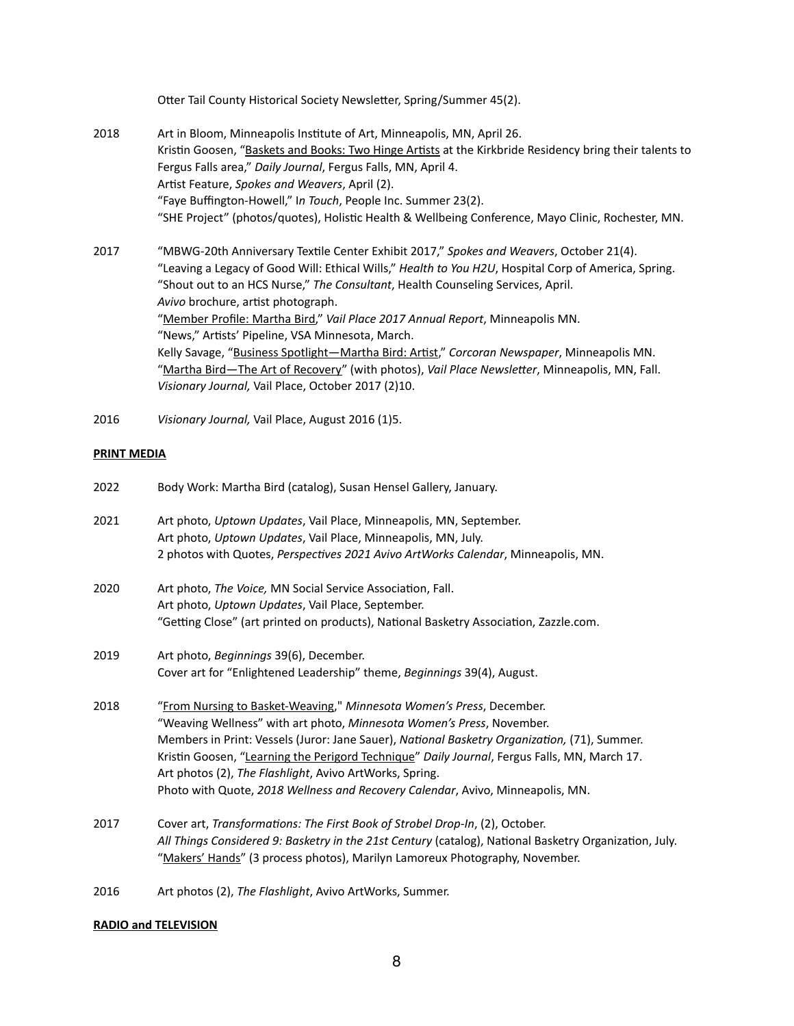Otter Tail County Historical Society Newsletter, Spring/Summer 45(2).

- 2018 Art in Bloom, Minneapolis Institute of Art, Minneapolis, MN, April 26. Kristin Goosen, ["Baskets and Books: Two Hinge Artists](https://www.fergusfallsjournal.com/lifestyle/baskets-and-books-two-hinge-artists-at-the-kirkbride-residents-bring-their-talents-to-fergus/article_f4f9752f-6a6b-5cd9-83e9-8f4532be7c31.html) at the Kirkbride Residency bring their talents to Fergus Falls area," *Daily Journal*, Fergus Falls, MN, April 4. Artist Feature, *Spokes and Weavers*, April (2). "Faye Buffington-Howell," I*n Touch*, People Inc. Summer 23(2). "SHE Project" (photos/quotes), Holistic Health & Wellbeing Conference, Mayo Clinic, Rochester, MN.
- 2017 "MBWG-20th Anniversary Textile Center Exhibit 2017," *Spokes and Weavers*, October 21(4). "Leaving a Legacy of Good Will: Ethical Wills," *Health to You H2U*, Hospital Corp of America, Spring. "Shout out to an HCS Nurse," *The Consultant*, Health Counseling Services, April. *Avivo* brochure, artist photograph. "[Member Profile: Martha Bird](https://www.vailplace.org/member-profile-martha-bird/)," *Vail Place 2017 Annual Report*, Minneapolis MN. "News," Artists' Pipeline, VSA Minnesota, March. Kelly Savage, "[Business Spotlight—Martha Bird: Artist](http://www.corcoranneighborhood.org/business_spotlight_martha_bird_artist)," *Corcoran Newspaper*, Minneapolis MN. "[Martha Bird—The Art of Recovery"](https://www.vailplace.org/member-profile-martha-bird/) (with photos), *Vail Place Newsletter*, Minneapolis, MN, Fall. *Visionary Journal,* Vail Place, October 2017 (2)10.
- 2016 *Visionary Journal,* Vail Place, August 2016 (1)5.

## **PRINT MEDIA**

| 2022 | Body Work: Martha Bird (catalog), Susan Hensel Gallery, January.                                       |
|------|--------------------------------------------------------------------------------------------------------|
| 2021 | Art photo, Uptown Updates, Vail Place, Minneapolis, MN, September.                                     |
|      | Art photo, Uptown Updates, Vail Place, Minneapolis, MN, July.                                          |
|      | 2 photos with Quotes, Perspectives 2021 Avivo ArtWorks Calendar, Minneapolis, MN.                      |
| 2020 | Art photo, The Voice, MN Social Service Association, Fall.                                             |
|      | Art photo, Uptown Updates, Vail Place, September.                                                      |
|      | "Getting Close" (art printed on products), National Basketry Association, Zazzle.com.                  |
| 2019 | Art photo, Beginnings 39(6), December.                                                                 |
|      | Cover art for "Enlightened Leadership" theme, Beginnings 39(4), August.                                |
| 2018 | "From Nursing to Basket-Weaving," Minnesota Women's Press, December.                                   |
|      | "Weaving Wellness" with art photo, Minnesota Women's Press, November.                                  |
|      | Members in Print: Vessels (Juror: Jane Sauer), National Basketry Organization, (71), Summer.           |
|      | Kristin Goosen, "Learning the Perigord Technique" Daily Journal, Fergus Falls, MN, March 17.           |
|      | Art photos (2), The Flashlight, Avivo ArtWorks, Spring.                                                |
|      | Photo with Quote, 2018 Wellness and Recovery Calendar, Avivo, Minneapolis, MN.                         |
| 2017 | Cover art, Transformations: The First Book of Strobel Drop-In, (2), October.                           |
|      | All Things Considered 9: Basketry in the 21st Century (catalog), National Basketry Organization, July. |
|      | "Makers' Hands" (3 process photos), Marilyn Lamoreux Photography, November.                            |

2016 Art photos (2), *The Flashlight*, Avivo ArtWorks, Summer.

## **RADIO and TELEVISION**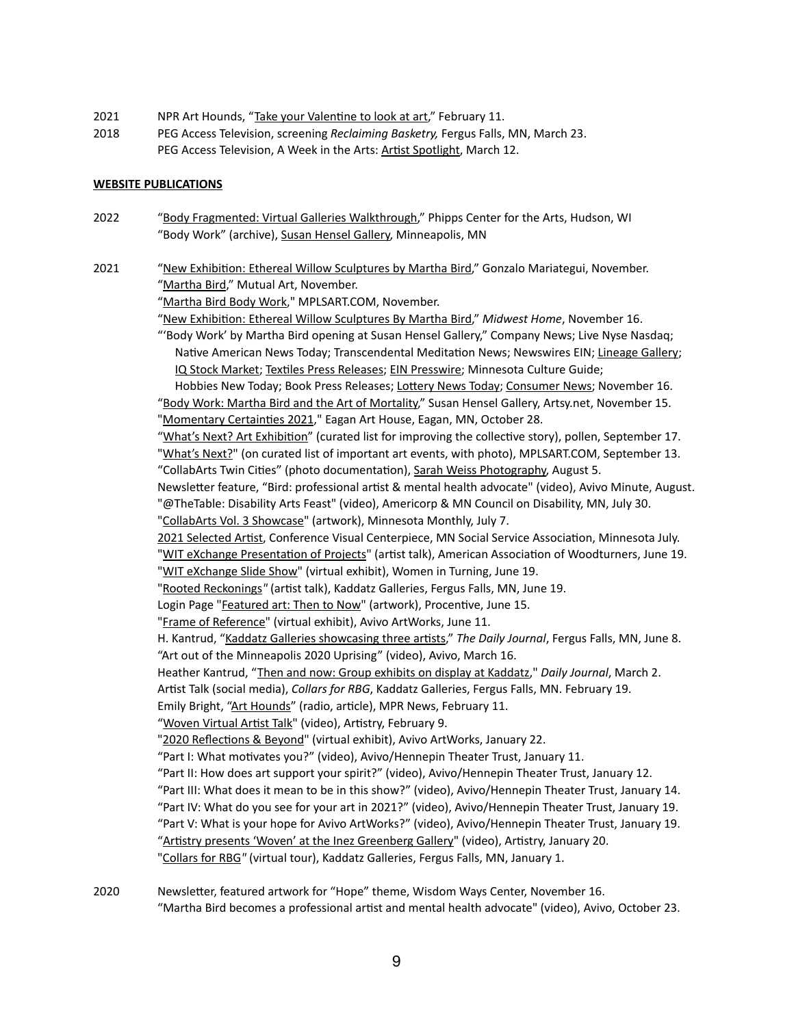- 2021 NPR Art Hounds, "[Take your Valentine to look at art](https://www.mprnews.org/story/2021/02/11/art-hounds-take-your-valentine-to-look-at-art)," February 11.
- 2018 PEG Access Television, screening *Reclaiming Basketry,* Fergus Falls, MN, March 23. PEG Access Television, A Week in the Arts: [Artist Spotlight,](https://www.youtube.com/watch?v=dLxxIO2M7zA&t=1032s) March 12.

### **WEBSITE PUBLICATIONS**

- 2022 "[Body Fragmented: Virtual Galleries Walkthrough,](https://www.youtube.com/watch?v=il4u2I8FaRg&t=535s)" Phipps Center for the Arts, Hudson, WI "Body Work" (archive), [Susan Hensel Gallery,](https://susanhenselgallery.com/fiber-art-by-susan-hensel/) Minneapolis, MN
- 2021 "[New Exhibition: Ethereal Willow Sculptures by Martha Bird,](https://gonzalomariategui.com/2021/11/16/new-exhibition-ethereal-willow-sculptures-by-martha-bird/)" Gonzalo Mariategui, November. "[Martha Bird](https://www.mutualart.com/Artist/Martha-Bird/29298C6929D13B63)," Mutual Art, November.

"[Martha Bird Body Work](https://www.mplsart.com/events/martha-bird-body-work)," MPLSART.COM, November.

"[New Exhibition: Ethereal Willow Sculptures By Martha Bird,](https://midwesthome.com/interior-spaces/new-exhibition-ethereal-willow-sculptures-by-martha-bird/)" *Midwest Home*, November 16.

"'Body Work' by Martha Bird opening at Susan Hensel Gallery," Company News; Live Nyse Nasdaq; Native American News Today; Transcendental Meditation News; Newswires EIN; [Lineage Gallery](https://lineagegallery.com/martha-birds-body-work-opening-at-the-susan-hensel-gallery/); [IQ Stock Market;](https://www.iqstockmarket.com/n/body-work-martha-bird-opening-susan-hensel-gallery-2994081/) [Textiles Press Releases;](https://www.textilespressreleases.com/article/556458010-body-work-by-martha-bird-opening-at-susan-hensel-gallery/) [EIN Presswire;](https://www.einpresswire.com/article/556458010/body-work-by-martha-bird-opening-at-susan-hensel-gallery) Minnesota Culture Guide;

Hobbies New Today; Book Press Releases; [Lottery News Today;](https://lottery.einnews.com/pr_news/556458010/body-work-by-martha-bird-opening-at-susan-hensel-gallery) [Consumer News](https://consumer.einnews.com/pr_news/556458010/body-work-by-martha-bird-opening-at-susan-hensel-gallery); November 16. "[Body Work: Martha Bird and the Art of Mortality,](https://www.artsy.net/show/susan-hensel-gallery-body-work/info)" Susan Hensel Gallery, Artsy.net, November 15. "[Momentary Certainties 2021](https://www.cityofeagan.com/momentary-certainties-2021)," Eagan Art House, Eagan, MN, October 28.

"[What's Next? Art Exhibition](https://www.pollenmidwest.org/opportunities/whats-next-art-exhibition/)" (curated list for improving the collective story), pollen, September 17. "[What's Next?"](https://www.mplsart.com/events/whats-next-martha-bird) (on curated list of important art events, with photo), MPLSART.COM, September 13. "CollabArts Twin Cities" (photo documentation), [Sarah Weiss Photography,](https://www.sarahweissphotography.com/collabarts) August 5.

Newsletter feature, "Bird: professional artist & mental health advocate" (video), Avivo Minute, August. "@TheTable: Disability Arts Feast" (video), Americorp & MN Council on Disability, MN, July 30.

"[CollabArts Vol. 3 Showcase](https://www.minnesotamonthly.com/?s=collabarts+vol.3+showcase)" (artwork), Minnesota Monthly, July 7.

[2021 Selected Artist,](https://www.mnssa.org/web/MNSSA/Education_Events/129th_Annual_Conference_and_Expo/2022_Call_for_Artists/MNSSA/MSSA_Events___Education/2022_Conference/Call_for_Artists_2022.aspx?hkey=fa930f88-1de0-4415-a781-1cd5b681e913) Conference Visual Centerpiece, MN Social Service Association, Minnesota July. "[WIT eXchange Presentation of Projects"](https://www.woodturner.org/Woodturner/WIT/WIT-Virtual-Exchange-2021/WIT-EXCHANGE-Presentation-of-Projects--June-19--2021.aspx?_zs=kd2xc&_zl=4vhe2) (artist talk), American Association of Woodturners, June 19. "[WIT eXchange Slide Show"](https://www.woodturner.org/Woodturner/WIT/WIT-Virtual-Exchange-2021/WIT-EXCHANGE-Slideshow-With-Music.aspx?_zs=kd2xc&_zl=5vhe2) (virtual exhibit), Women in Turning, June 19.

"[Rooted Reckonings](https://www.facebook.com/kaddatzgallery/videos/855992661672805/)*"* (artist talk), Kaddatz Galleries, Fergus Falls, MN, June 19.

Login Page ["Featured art: Then to Now](https://procentive.com/2021/06/15/featured-artwork-then-to-now-by-martha-bird/)" (artwork), Procentive, June 15.

"[Frame of Reference"](https://avivoartworks.weebly.com/photographyclub.html) (virtual exhibit), Avivo ArtWorks, June 11.

H. Kantrud, "[Kaddatz Galleries showcasing three artists,](https://news.yahoo.com/kaddatz-galleries-showcasing-three-artists-195300987.html?guccounter=1)" *The Daily Journal*, Fergus Falls, MN, June 8. "Art out of the Minneapolis 2020 Uprising" (video), Avivo, March 16.

Heather Kantrud, "[Then and now: Group exhibits on display at Kaddatz](https://www.fergusfallsjournal.com/news/then-and-now-group-exhibits-on-display-at-kaddatz-galleries-in-ff/article_99349804-7bc3-11eb-b194-c3251804786c.html)," *Daily Journal*, March 2.

Artist Talk (social media), *Collars for RBG*, Kaddatz Galleries, Fergus Falls, MN. February 19.

Emily Bright, ["Art Hounds](https://www.mprnews.org/story/2021/02/11/art-hounds-take-your-valentine-to-look-at-art)" (radio, article), MPR News, February 11.

"[Woven Virtual Artist Talk"](https://artistrymn.org/past-exhibitions) (video), Artistry, February 9.

"[2020 Reflections & Beyond"](https://avivoartworks.weebly.com/drawingclub.html) (virtual exhibit), Avivo ArtWorks, January 22.

"Part I: What motivates you?" (video), Avivo/Hennepin Theater Trust, January 11.

"Part II: How does art support your spirit?" (video), Avivo/Hennepin Theater Trust, January 12.

"Part III: What does it mean to be in this show?" (video), Avivo/Hennepin Theater Trust, January 14.

"Part IV: What do you see for your art in 2021?" (video), Avivo/Hennepin Theater Trust, January 19. "Part V: What is your hope for Avivo ArtWorks?" (video), Avivo/Hennepin Theater Trust, January 19.

"[Artistry presents 'Woven' at the Inez Greenberg Gallery"](https://artistrymn.org/past-exhibitions) (video), Artistry, January 20.

"[Collars for RBG](https://www.lakesarea360tours.com/kaddatz-Jan2021/)*"* (virtual tour), Kaddatz Galleries, Fergus Falls, MN, January 1.

2020 Newsletter, featured artwork for "Hope" theme, Wisdom Ways Center, November 16. "Martha Bird becomes a professional artist and mental health advocate" (video), Avivo, October 23.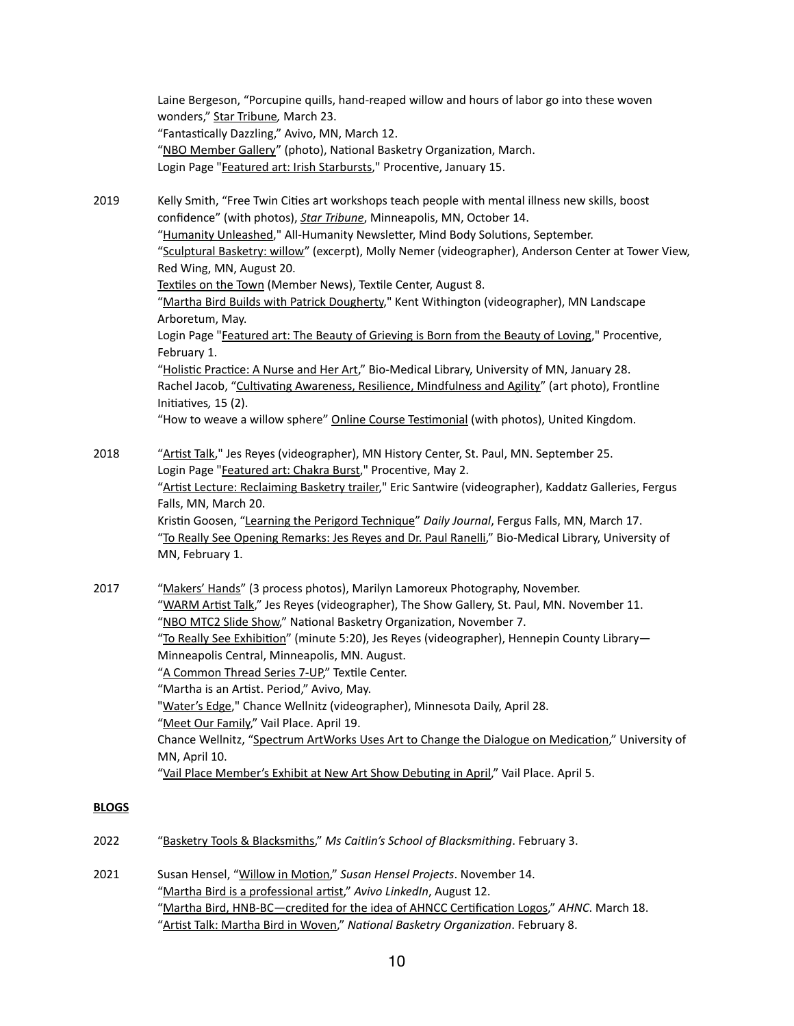Laine Bergeson, "Porcupine quills, hand-reaped willow and hours of labor go into these woven wonders," [Star Tribune](https://www.startribune.com/porcupine-quills-hand-reaped-willow-and-hours-of-labor-go-into-these-woven-wonders/569030052/)*,* March 23. "Fantastically Dazzling," Avivo, MN, March 12. "[NBO Member Gallery"](http://nationalbasketry.org/current-gallery/) (photo), National Basketry Organization, March. Login Page ["Featured art: Irish Starbursts,](https://procentive.com/2020/01/15/featured-artwork-irish-starburst-by-martha-bird/)" Procentive, January 15.

2019 Kelly Smith, "Free Twin Cities art workshops teach people with mental illness new skills, boost confidence" (with photos), *[Star Tribune](https://www.startribune.com/free-twin-cities-art-workshops-teach-people-will-mental-illness-new-skills-boost-confidence/562201572/)*, Minneapolis, MN, October 14. "[Humanity Unleashed,](https://myemail.constantcontact.com/What-new-beginning-is-calling-out-to-you-.html?soid=1112873799037&aid=dd6_v38R-BU)" All-Humanity Newsletter, Mind Body Solutions, September. "[Sculptural Basketry: willow"](https://vimeo.com/395872246) (excerpt), Molly Nemer (videographer), Anderson Center at Tower View, Red Wing, MN, August 20. [Textiles on the Town](https://myemail.constantcontact.com/Textiles-on-the-Town--25th-anniversary-exhibitions-open-next-week-.html?soid=1102263543362&aid=WHgDgnnb1N0) (Member News), Textile Center, August 8. "[Martha Bird Builds with Patrick Dougherty,](http://vimeo.com/338700997)" Kent Withington (videographer), MN Landscape Arboretum, May. Login Page ["Featured art: The Beauty of Grieving is Born from the Beauty of Loving](https://procentive.com/2019/02/01/the-beauty-of-grieving-is-born-from-the-beauty-of-loving-by-martha-bird/)," Procentive, February 1. "[Holistic Practice: A Nurse and Her Art](http://www.continuum.umn.edu/2019/01/holistic-practice/)," Bio-Medical Library, University of MN, January 28. Rachel Jacob, ["Cultivating Awareness, Resilience, Mindfulness and Agility"](https://publications.ici.umn.edu/frontline-initiative/15-2/carma-for-direct-support-professionals) (art photo), Frontline Initiatives*,* 15 (2). "How to weave a willow sphere" [Online Course Testimonial](https://willowtwister.teachable.com/p/how-to-weave-a-willow-sphere) (with photos), United Kingdom.

2018 "[Artist Talk,](https://vimeo.com/301370283)" Jes Reyes (videographer), MN History Center, St. Paul, MN. September 25. Login Page ["Featured art: Chakra Burst,](https://procentive.com/2018/05/02/featured-artwork-chakra-burst-by-martha-bird/.)" Procentive, May 2. "[Artist Lecture: Reclaiming Basketry trailer,](https://vimeo.com/337663571)" Eric Santwire (videographer), Kaddatz Galleries, Fergus Falls, MN, March 20. Kristin Goosen, ["Learning the Perigord Technique](https://www.fergusfallsjournal.com/news/learning-the-perigord-technique/article_1c8e736b-a51c-5eb1-972d-f823cf5e903c.html)" *Daily Journal*, Fergus Falls, MN, March 17. "[To Really See Opening Remarks: Jes Reyes and Dr. Paul Ranelli,](https://vimeo.com/254002064#t=66s)" Bio-Medical Library, University of MN, February 1.

2017 "[Makers' Hands"](https://marilynlamoreux.com/makers-hands/) (3 process photos), Marilyn Lamoreux Photography, November. "[WARM Artist Talk](https://vimeo.com/302718095)," Jes Reyes (videographer), The Show Gallery, St. Paul, MN. November 11. "[NBO MTC2 Slide Show,](https://youtu.be/tk76t9oTkYc?t=221)" National Basketry Organization, November 7. "[To Really See Exhibition"](https://avivoartworks.weebly.com/projects.html) (minute 5:20), Jes Reyes (videographer), Hennepin County Library— Minneapolis Central, Minneapolis, MN. August. "[A Common Thread Series 7-UP,](https://www.facebook.com/TextileCenterMN/posts/10155505587778173)" Textile Center. "Martha is an Artist. Period," Avivo, May. "[Water's Edge,](https://www.youtube.com/watch?v=7vp38xQwt5U&feature=youtu.be)" Chance Wellnitz (videographer), Minnesota Daily, April 28. "[Meet Our Family,](http://www.vailplace.org/member-profile-martha-bird/)" Vail Place. April 19. Chance Wellnitz, ["Spectrum ArtWorks Uses Art to Change the Dialogue on Medication,](https://accessu.sjmc.umn.edu/2017/04/10/spectrum-artworks-uses-art-to-change-the-dialogue-on-medication/index.html)" University of MN, April 10. "[Vail Place Member's Exhibit at New Art Show Debuting in April,](https://www.vailplace.org/new-art-show-debuts-at-arboretum-april-9th/)" Vail Place. April 5.

## **BLOGS**

- 2022 "[Basketry Tools & Blacksmiths,](http://mscaitlinsschool.com/blog/basketry-tools-blacksmiths)" *Ms Caitlin's School of Blacksmithing*. February 3.
- 2021 Susan Hensel, ["Willow in Motion](https://susanhenselgallery.com/body-works-susan-hensel-gallery-artsy-net/)," *Susan Hensel Projects*. November 14. "[Martha Bird is a professional artist,](https://www.linkedin.com/posts/avivomn_martha-bird-is-a-professional-artist-in-our-activity-6831227709364998144-H5gA)" *Avivo LinkedIn*, August 12. "[Martha Bird, HNB-BC—credited for the idea of AHNCC Certification Logos,](https://www.ahncc.org/martha-bird-hnb-bc-credited-for-the-idea-of-ahncc-certification-logos/)" *AHNC*. March 18. "[Artist Talk: Martha Bird in Woven,](http://nationalbasketry.org/news-for-members/)" *National Basketry Organization*. February 8.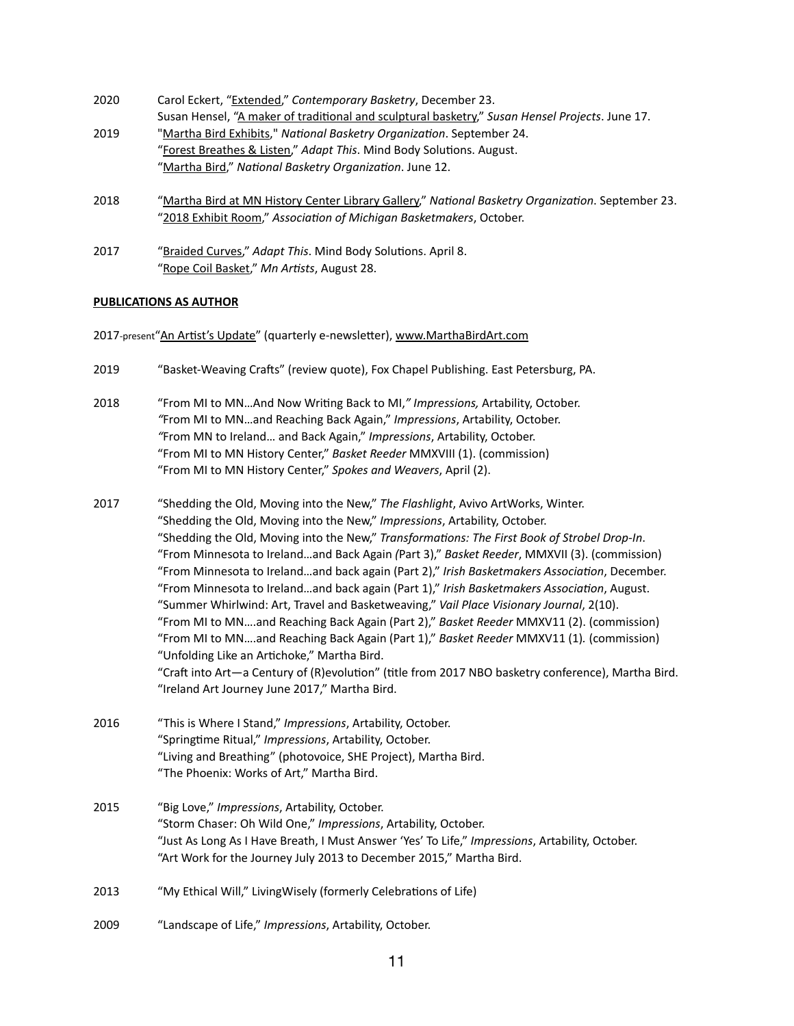| 2020 | Carol Eckert, "Extended," Contemporary Basketry, December 23.                                                                                                            |
|------|--------------------------------------------------------------------------------------------------------------------------------------------------------------------------|
|      | Susan Hensel, "A maker of traditional and sculptural basketry," Susan Hensel Projects. June 17.                                                                          |
| 2019 | "Martha Bird Exhibits," National Basketry Organization. September 24.                                                                                                    |
|      | "Forest Breathes & Listen," Adapt This. Mind Body Solutions. August.                                                                                                     |
|      | "Martha Bird," National Basketry Organization. June 12.                                                                                                                  |
| 2018 | "Martha Bird at MN History Center Library Gallery," National Basketry Organization. September 23.<br>"2018 Exhibit Room," Association of Michigan Basketmakers, October. |

2017 "[Braided Curves,](http://nationalbasketry.org/martha-bird-at-minnesota-history-center-library-gallery/)" *Adapt This*. Mind Body Solutions. April 8. "[Rope Coil Basket,](https://www.instagram.com/p/BYWtzOHDcET/)" *Mn Artists*, August 28.

## **PUBLICATIONS AS AUTHOR**

2017-present"[An Artist's Update](https://www.marthabirdart.com/updates)" (quarterly e-newsletter), [www.MarthaBirdArt.com](http://www.MarthaBirdArt.com)

- 2019 "Basket-Weaving Crafts" (review quote), Fox Chapel Publishing. East Petersburg, PA.
- 2018 "From MI to MN…And Now Writing Back to MI,*" Impressions,* Artability, October. *"*From MI to MN…and Reaching Back Again," *Impressions*, Artability, October. *"*From MN to Ireland… and Back Again," *Impressions*, Artability, October. "From MI to MN History Center," *Basket Reeder* MMXVIII (1). (commission) "From MI to MN History Center," *Spokes and Weavers*, April (2).
- 2017 "Shedding the Old, Moving into the New," *The Flashlight*, Avivo ArtWorks, Winter. "Shedding the Old, Moving into the New," *Impressions*, Artability, October. "Shedding the Old, Moving into the New," *Transformations: The First Book of Strobel Drop-In*. "From Minnesota to Ireland…and Back Again *(*Part 3)," *Basket Reeder*, MMXVII (3). (commission) "From Minnesota to Ireland…and back again (Part 2)," *Irish Basketmakers Association*, December. "From Minnesota to Ireland…and back again (Part 1)," *Irish Basketmakers Association*, August. "Summer Whirlwind: Art, Travel and Basketweaving," *Vail Place Visionary Journal*, 2(10). "From MI to MN….and Reaching Back Again (Part 2)," *Basket Reeder* MMXV11 (2). (commission) "From MI to MN….and Reaching Back Again (Part 1)," *Basket Reeder* MMXV11 (1)*.* (commission) "Unfolding Like an Artichoke," Martha Bird. "Craft into Art—a Century of (R)evolution" (title from 2017 NBO basketry conference), Martha Bird. "Ireland Art Journey June 2017," Martha Bird.
- 2016 "This is Where I Stand," *Impressions*, Artability, October. "Springtime Ritual," *Impressions*, Artability, October. "Living and Breathing" (photovoice, SHE Project), Martha Bird. "The Phoenix: Works of Art," Martha Bird.
- 2015 "Big Love," *Impressions*, Artability, October. "Storm Chaser: Oh Wild One," *Impressions*, Artability, October. "Just As Long As I Have Breath, I Must Answer 'Yes' To Life," *Impressions*, Artability, October. "Art Work for the Journey July 2013 to December 2015," Martha Bird.
- 2013 "My Ethical Will," LivingWisely (formerly Celebrations of Life)
- 2009 "Landscape of Life," *Impressions*, Artability, October.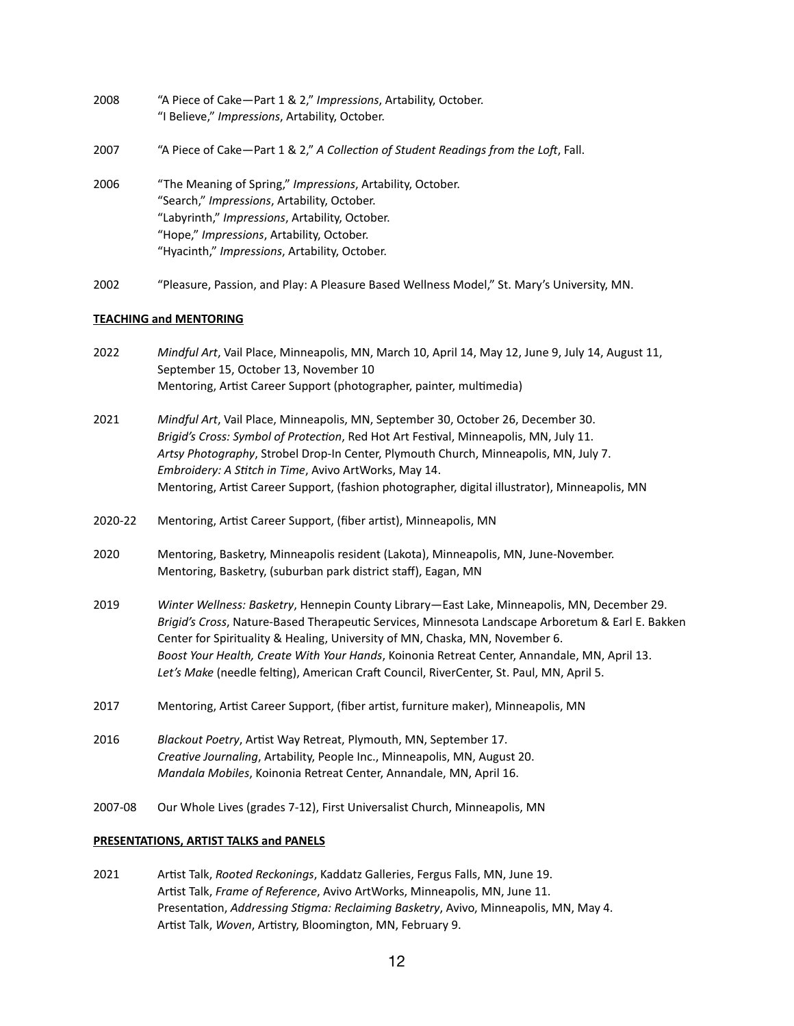- 2008 "A Piece of Cake—Part 1 & 2," *Impressions*, Artability, October. "I Believe," *Impressions*, Artability, October.
- 2007 "A Piece of Cake—Part 1 & 2," *A Collection of Student Readings from the Lof*, Fall.
- 2006 "The Meaning of Spring," *Impressions*, Artability, October. "Search," *Impressions*, Artability, October. "Labyrinth," *Impressions*, Artability, October. "Hope," *Impressions*, Artability, October. "Hyacinth," *Impressions*, Artability, October.
- 2002 "Pleasure, Passion, and Play: A Pleasure Based Wellness Model," St. Mary's University, MN.

## **TEACHING and MENTORING**

- 2022 *Mindful Art*, Vail Place, Minneapolis, MN, March 10, April 14, May 12, June 9, July 14, August 11, September 15, October 13, November 10 Mentoring, Artist Career Support (photographer, painter, multimedia)
- 2021 *Mindful Art*, Vail Place, Minneapolis, MN, September 30, October 26, December 30. *Brigid's Cross: Symbol of Protection*, Red Hot Art Festival, Minneapolis, MN, July 11. *Artsy Photography*, Strobel Drop-In Center, Plymouth Church, Minneapolis, MN, July 7. *Embroidery: A Stitch in Time*, Avivo ArtWorks, May 14. Mentoring, Artist Career Support, (fashion photographer, digital illustrator), Minneapolis, MN
- 2020-22 Mentoring, Artist Career Support, (fiber artist), Minneapolis, MN
- 2020 Mentoring, Basketry, Minneapolis resident (Lakota), Minneapolis, MN, June-November. Mentoring, Basketry, (suburban park district staff), Eagan, MN
- 2019 *Winter Wellness: Basketry*, Hennepin County Library—East Lake, Minneapolis, MN, December 29. *Brigid's Cross*, Nature-Based Therapeutic Services, Minnesota Landscape Arboretum & Earl E. Bakken Center for Spirituality & Healing, University of MN, Chaska, MN, November 6. *Boost Your Health, Create With Your Hands*, Koinonia Retreat Center, Annandale, MN, April 13. *Let's Make* (needle felting), American Craft Council, RiverCenter, St. Paul, MN, April 5.
- 2017 Mentoring, Artist Career Support, (fiber artist, furniture maker), Minneapolis, MN
- 2016 *Blackout Poetry*, Artist Way Retreat, Plymouth, MN, September 17. *Creative Journaling*, Artability, People Inc., Minneapolis, MN, August 20. *Mandala Mobiles*, Koinonia Retreat Center, Annandale, MN, April 16.
- 2007-08 Our Whole Lives (grades 7-12), First Universalist Church, Minneapolis, MN

### **PRESENTATIONS, ARTIST TALKS and PANELS**

2021 Artist Talk, *Rooted Reckonings*, Kaddatz Galleries, Fergus Falls, MN, June 19. Artist Talk, *Frame of Reference*, Avivo ArtWorks, Minneapolis, MN, June 11. Presentation, *Addressing Stigma: Reclaiming Basketry*, Avivo, Minneapolis, MN, May 4. Artist Talk, *Woven*, Artistry, Bloomington, MN, February 9.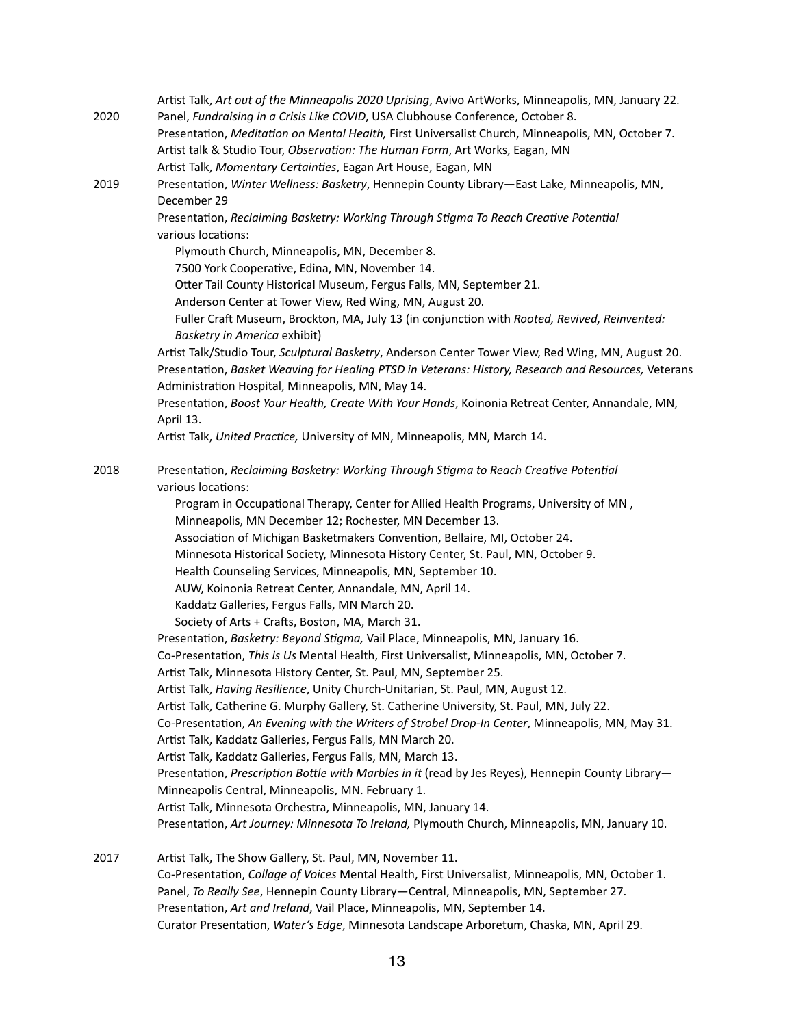|      | Artist Talk, Art out of the Minneapolis 2020 Uprising, Avivo ArtWorks, Minneapolis, MN, January 22.                                                                |
|------|--------------------------------------------------------------------------------------------------------------------------------------------------------------------|
| 2020 | Panel, Fundraising in a Crisis Like COVID, USA Clubhouse Conference, October 8.                                                                                    |
|      | Presentation, Meditation on Mental Health, First Universalist Church, Minneapolis, MN, October 7.                                                                  |
|      | Artist talk & Studio Tour, Observation: The Human Form, Art Works, Eagan, MN                                                                                       |
|      | Artist Talk, Momentary Certainties, Eagan Art House, Eagan, MN                                                                                                     |
| 2019 | Presentation, Winter Wellness: Basketry, Hennepin County Library-East Lake, Minneapolis, MN,                                                                       |
|      | December 29                                                                                                                                                        |
|      | Presentation, Reclaiming Basketry: Working Through Stigma To Reach Creative Potential                                                                              |
|      | various locations:                                                                                                                                                 |
|      | Plymouth Church, Minneapolis, MN, December 8.                                                                                                                      |
|      | 7500 York Cooperative, Edina, MN, November 14.                                                                                                                     |
|      | Otter Tail County Historical Museum, Fergus Falls, MN, September 21.                                                                                               |
|      | Anderson Center at Tower View, Red Wing, MN, August 20.                                                                                                            |
|      | Fuller Craft Museum, Brockton, MA, July 13 (in conjunction with Rooted, Revived, Reinvented:<br>Basketry in America exhibit)                                       |
|      | Artist Talk/Studio Tour, Sculptural Basketry, Anderson Center Tower View, Red Wing, MN, August 20.                                                                 |
|      | Presentation, Basket Weaving for Healing PTSD in Veterans: History, Research and Resources, Veterans                                                               |
|      | Administration Hospital, Minneapolis, MN, May 14.                                                                                                                  |
|      | Presentation, Boost Your Health, Create With Your Hands, Koinonia Retreat Center, Annandale, MN,                                                                   |
|      | April 13.                                                                                                                                                          |
|      | Artist Talk, United Practice, University of MN, Minneapolis, MN, March 14.                                                                                         |
| 2018 | Presentation, Reclaiming Basketry: Working Through Stigma to Reach Creative Potential                                                                              |
|      | various locations:                                                                                                                                                 |
|      | Program in Occupational Therapy, Center for Allied Health Programs, University of MN,                                                                              |
|      | Minneapolis, MN December 12; Rochester, MN December 13.                                                                                                            |
|      | Association of Michigan Basketmakers Convention, Bellaire, MI, October 24.                                                                                         |
|      | Minnesota Historical Society, Minnesota History Center, St. Paul, MN, October 9.                                                                                   |
|      | Health Counseling Services, Minneapolis, MN, September 10.                                                                                                         |
|      | AUW, Koinonia Retreat Center, Annandale, MN, April 14.                                                                                                             |
|      | Kaddatz Galleries, Fergus Falls, MN March 20.                                                                                                                      |
|      | Society of Arts + Crafts, Boston, MA, March 31.                                                                                                                    |
|      | Presentation, Basketry: Beyond Stigma, Vail Place, Minneapolis, MN, January 16.                                                                                    |
|      | Co-Presentation, This is Us Mental Health, First Universalist, Minneapolis, MN, October 7.                                                                         |
|      | Artist Talk, Minnesota History Center, St. Paul, MN, September 25.                                                                                                 |
|      | Artist Talk, Having Resilience, Unity Church-Unitarian, St. Paul, MN, August 12.                                                                                   |
|      | Artist Talk, Catherine G. Murphy Gallery, St. Catherine University, St. Paul, MN, July 22.                                                                         |
|      | Co-Presentation, An Evening with the Writers of Strobel Drop-In Center, Minneapolis, MN, May 31.                                                                   |
|      | Artist Talk, Kaddatz Galleries, Fergus Falls, MN March 20.                                                                                                         |
|      | Artist Talk, Kaddatz Galleries, Fergus Falls, MN, March 13.                                                                                                        |
|      | Presentation, Prescription Bottle with Marbles in it (read by Jes Reyes), Hennepin County Library-<br>Minneapolis Central, Minneapolis, MN. February 1.            |
|      | Artist Talk, Minnesota Orchestra, Minneapolis, MN, January 14.                                                                                                     |
|      | Presentation, Art Journey: Minnesota To Ireland, Plymouth Church, Minneapolis, MN, January 10.                                                                     |
|      |                                                                                                                                                                    |
| 2017 | Artist Talk, The Show Gallery, St. Paul, MN, November 11.                                                                                                          |
|      | Co-Presentation, Collage of Voices Mental Health, First Universalist, Minneapolis, MN, October 1.                                                                  |
|      | Panel, To Really See, Hennepin County Library-Central, Minneapolis, MN, September 27.<br>Presentation, Art and Ireland, Vail Place, Minneapolis, MN, September 14. |
|      |                                                                                                                                                                    |

Curator Presentation, *Water's Edge*, Minnesota Landscape Arboretum, Chaska, MN, April 29.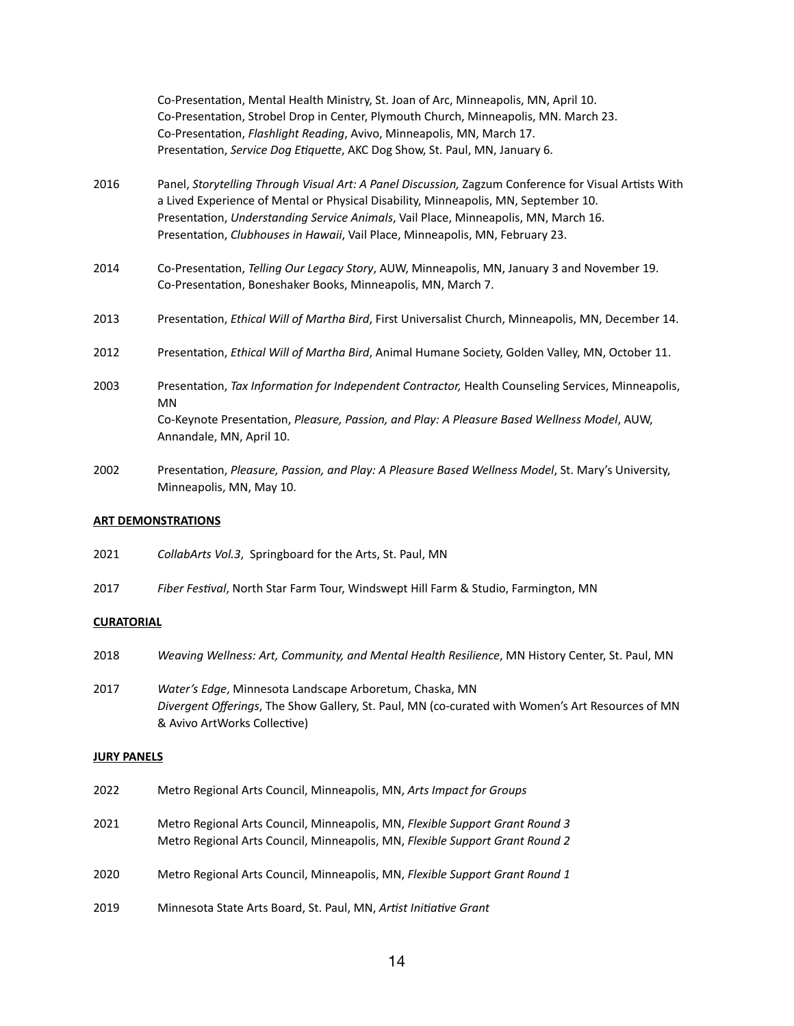|      | Co-Presentation, Mental Health Ministry, St. Joan of Arc, Minneapolis, MN, April 10.<br>Co-Presentation, Strobel Drop in Center, Plymouth Church, Minneapolis, MN. March 23.<br>Co-Presentation, Flashlight Reading, Avivo, Minneapolis, MN, March 17.<br>Presentation, Service Dog Etiquette, AKC Dog Show, St. Paul, MN, January 6.                                |
|------|----------------------------------------------------------------------------------------------------------------------------------------------------------------------------------------------------------------------------------------------------------------------------------------------------------------------------------------------------------------------|
| 2016 | Panel, Storytelling Through Visual Art: A Panel Discussion, Zagzum Conference for Visual Artists With<br>a Lived Experience of Mental or Physical Disability, Minneapolis, MN, September 10.<br>Presentation, Understanding Service Animals, Vail Place, Minneapolis, MN, March 16.<br>Presentation, Clubhouses in Hawaii, Vail Place, Minneapolis, MN, February 23. |
| 2014 | Co-Presentation, Telling Our Legacy Story, AUW, Minneapolis, MN, January 3 and November 19.<br>Co-Presentation, Boneshaker Books, Minneapolis, MN, March 7.                                                                                                                                                                                                          |
| 2013 | Presentation, Ethical Will of Martha Bird, First Universalist Church, Minneapolis, MN, December 14.                                                                                                                                                                                                                                                                  |
| 2012 | Presentation, Ethical Will of Martha Bird, Animal Humane Society, Golden Valley, MN, October 11.                                                                                                                                                                                                                                                                     |
| 2003 | Presentation, Tax Information for Independent Contractor, Health Counseling Services, Minneapolis,<br><b>MN</b><br>Co-Keynote Presentation, Pleasure, Passion, and Play: A Pleasure Based Wellness Model, AUW,<br>Annandale, MN, April 10.                                                                                                                           |
| 2002 | Presentation, Pleasure, Passion, and Play: A Pleasure Based Wellness Model, St. Mary's University,                                                                                                                                                                                                                                                                   |

## **ART DEMONSTRATIONS**

2021 *CollabArts Vol.3*, Springboard for the Arts, St. Paul, MN

Minneapolis, MN, May 10.

2017 *Fiber Festival*, North Star Farm Tour, Windswept Hill Farm & Studio, Farmington, MN

#### **CURATORIAL**

- 2018 *Weaving Wellness: Art, Community, and Mental Health Resilience*, MN History Center, St. Paul, MN
- 2017 *Water's Edge*, Minnesota Landscape Arboretum, Chaska, MN *Divergent Offerings*, The Show Gallery, St. Paul, MN (co-curated with Women's Art Resources of MN & Avivo ArtWorks Collective)

## **JURY PANELS**

| 2022 | Metro Regional Arts Council, Minneapolis, MN, Arts Impact for Groups |
|------|----------------------------------------------------------------------|
|      |                                                                      |

- 2021 Metro Regional Arts Council, Minneapolis, MN, *Flexible Support Grant Round 3* Metro Regional Arts Council, Minneapolis, MN, *Flexible Support Grant Round 2*
- 2020 Metro Regional Arts Council, Minneapolis, MN, *Flexible Support Grant Round 1*
- 2019 Minnesota State Arts Board, St. Paul, MN, *Artist Initiative Grant*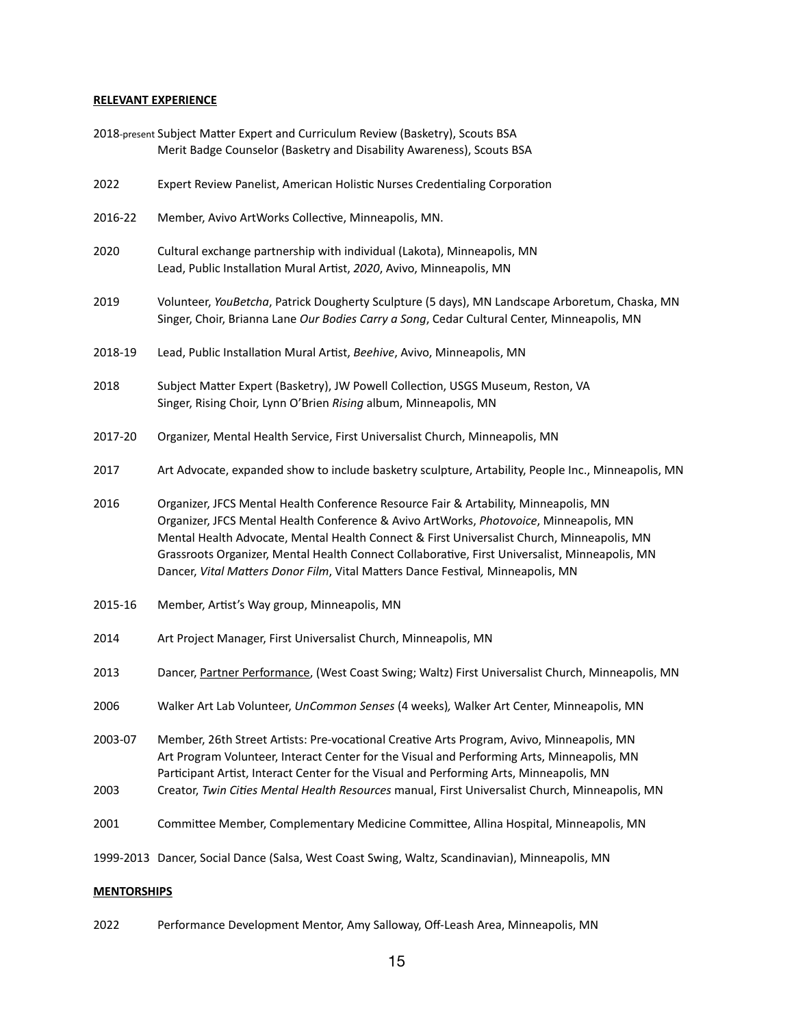## **RELEVANT EXPERIENCE**

|         | 2018-present Subject Matter Expert and Curriculum Review (Basketry), Scouts BSA<br>Merit Badge Counselor (Basketry and Disability Awareness), Scouts BSA                                                                                                                                                                                                                                                                                                          |
|---------|-------------------------------------------------------------------------------------------------------------------------------------------------------------------------------------------------------------------------------------------------------------------------------------------------------------------------------------------------------------------------------------------------------------------------------------------------------------------|
| 2022    | Expert Review Panelist, American Holistic Nurses Credentialing Corporation                                                                                                                                                                                                                                                                                                                                                                                        |
| 2016-22 | Member, Avivo ArtWorks Collective, Minneapolis, MN.                                                                                                                                                                                                                                                                                                                                                                                                               |
| 2020    | Cultural exchange partnership with individual (Lakota), Minneapolis, MN<br>Lead, Public Installation Mural Artist, 2020, Avivo, Minneapolis, MN                                                                                                                                                                                                                                                                                                                   |
| 2019    | Volunteer, YouBetcha, Patrick Dougherty Sculpture (5 days), MN Landscape Arboretum, Chaska, MN<br>Singer, Choir, Brianna Lane Our Bodies Carry a Song, Cedar Cultural Center, Minneapolis, MN                                                                                                                                                                                                                                                                     |
| 2018-19 | Lead, Public Installation Mural Artist, Beehive, Avivo, Minneapolis, MN                                                                                                                                                                                                                                                                                                                                                                                           |
| 2018    | Subject Matter Expert (Basketry), JW Powell Collection, USGS Museum, Reston, VA<br>Singer, Rising Choir, Lynn O'Brien Rising album, Minneapolis, MN                                                                                                                                                                                                                                                                                                               |
| 2017-20 | Organizer, Mental Health Service, First Universalist Church, Minneapolis, MN                                                                                                                                                                                                                                                                                                                                                                                      |
| 2017    | Art Advocate, expanded show to include basketry sculpture, Artability, People Inc., Minneapolis, MN                                                                                                                                                                                                                                                                                                                                                               |
| 2016    | Organizer, JFCS Mental Health Conference Resource Fair & Artability, Minneapolis, MN<br>Organizer, JFCS Mental Health Conference & Avivo ArtWorks, Photovoice, Minneapolis, MN<br>Mental Health Advocate, Mental Health Connect & First Universalist Church, Minneapolis, MN<br>Grassroots Organizer, Mental Health Connect Collaborative, First Universalist, Minneapolis, MN<br>Dancer, Vital Matters Donor Film, Vital Matters Dance Festival, Minneapolis, MN |
| 2015-16 | Member, Artist's Way group, Minneapolis, MN                                                                                                                                                                                                                                                                                                                                                                                                                       |
| 2014    | Art Project Manager, First Universalist Church, Minneapolis, MN                                                                                                                                                                                                                                                                                                                                                                                                   |
| 2013    | Dancer, Partner Performance, (West Coast Swing; Waltz) First Universalist Church, Minneapolis, MN                                                                                                                                                                                                                                                                                                                                                                 |
| 2006    | Walker Art Lab Volunteer, UnCommon Senses (4 weeks), Walker Art Center, Minneapolis, MN                                                                                                                                                                                                                                                                                                                                                                           |
| 2003-07 | Member, 26th Street Artists: Pre-vocational Creative Arts Program, Avivo, Minneapolis, MN<br>Art Program Volunteer, Interact Center for the Visual and Performing Arts, Minneapolis, MN<br>Participant Artist, Interact Center for the Visual and Performing Arts, Minneapolis, MN                                                                                                                                                                                |
| 2003    | Creator, Twin Cities Mental Health Resources manual, First Universalist Church, Minneapolis, MN                                                                                                                                                                                                                                                                                                                                                                   |
| 2001    | Committee Member, Complementary Medicine Committee, Allina Hospital, Minneapolis, MN                                                                                                                                                                                                                                                                                                                                                                              |
|         | 1999-2013 Dancer, Social Dance (Salsa, West Coast Swing, Waltz, Scandinavian), Minneapolis, MN                                                                                                                                                                                                                                                                                                                                                                    |

# **MENTORSHIPS**

2022 Performance Development Mentor, Amy Salloway, Off-Leash Area, Minneapolis, MN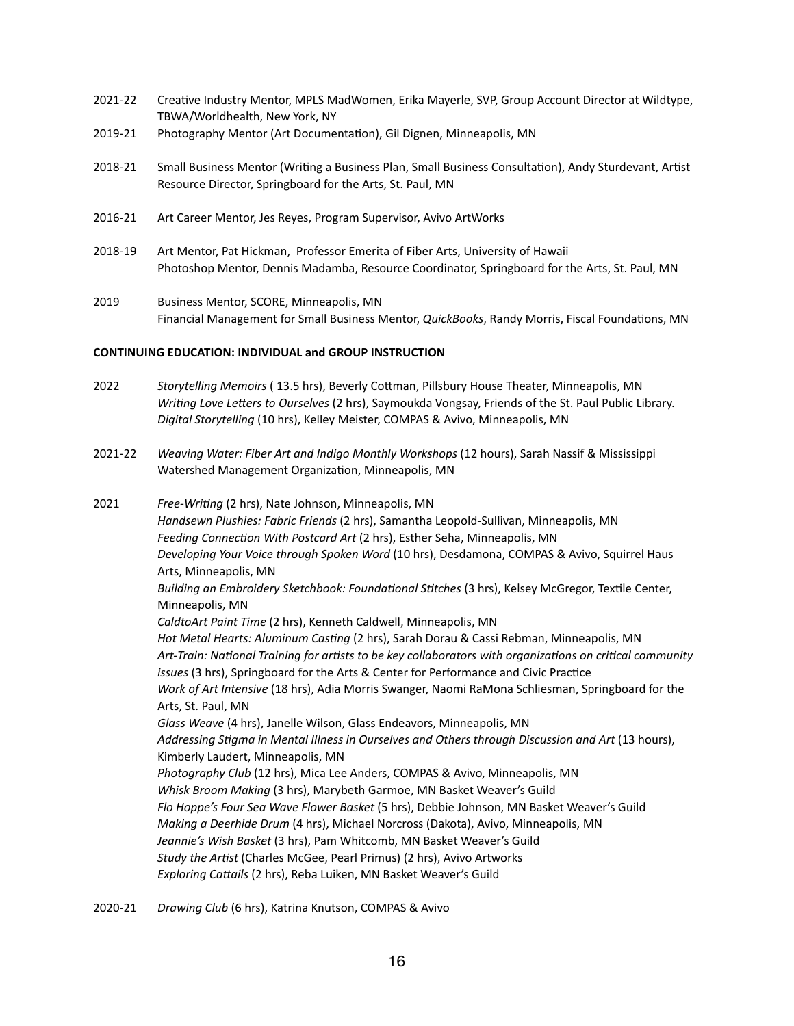- 2021-22 Creative Industry Mentor, MPLS MadWomen, Erika Mayerle, SVP, Group Account Director at Wildtype, TBWA/Worldhealth, New York, NY
- 2019-21 Photography Mentor (Art Documentation), Gil Dignen, Minneapolis, MN
- 2018-21 Small Business Mentor (Writing a Business Plan, Small Business Consultation), Andy Sturdevant, Artist Resource Director, Springboard for the Arts, St. Paul, MN
- 2016-21 Art Career Mentor, Jes Reyes, Program Supervisor, Avivo ArtWorks
- 2018-19 Art Mentor, Pat Hickman, Professor Emerita of Fiber Arts, University of Hawaii Photoshop Mentor, Dennis Madamba, Resource Coordinator, Springboard for the Arts, St. Paul, MN
- 2019 Business Mentor, SCORE, Minneapolis, MN Financial Management for Small Business Mentor, *QuickBooks*, Randy Morris, Fiscal Foundations, MN

### **CONTINUING EDUCATION: INDIVIDUAL and GROUP INSTRUCTION**

- 2022 *Storytelling Memoirs* ( 13.5 hrs), Beverly Cottman, Pillsbury House Theater, Minneapolis, MN *Writing Love Letters to Ourselves* (2 hrs), Saymoukda Vongsay, Friends of the St. Paul Public Library. *Digital Storytelling* (10 hrs), Kelley Meister, COMPAS & Avivo, Minneapolis, MN
- 2021-22 *Weaving Water: Fiber Art and Indigo Monthly Workshops* (12 hours), Sarah Nassif & Mississippi Watershed Management Organization, Minneapolis, MN
- 2021 *Free-Writing* (2 hrs), Nate Johnson, Minneapolis, MN *Handsewn Plushies: Fabric Friends* (2 hrs), Samantha Leopold-Sullivan, Minneapolis, MN *Feeding Connection With Postcard Art* (2 hrs), Esther Seha, Minneapolis, MN *Developing Your Voice through Spoken Word* (10 hrs), Desdamona, COMPAS & Avivo, Squirrel Haus Arts, Minneapolis, MN *Building an Embroidery Sketchbook: Foundational Stitches* (3 hrs), Kelsey McGregor, Textile Center, Minneapolis, MN *CaldtoArt Paint Time* (2 hrs), Kenneth Caldwell, Minneapolis, MN *Hot Metal Hearts: Aluminum Casting* (2 hrs), Sarah Dorau & Cassi Rebman, Minneapolis, MN *Art-Train: National Training for artists to be key collaborators with organizations on critical community issues* (3 hrs), Springboard for the Arts & Center for Performance and Civic Practice *Work of Art Intensive* (18 hrs), Adia Morris Swanger, Naomi RaMona Schliesman, Springboard for the Arts, St. Paul, MN *Glass Weave* (4 hrs), Janelle Wilson, Glass Endeavors, Minneapolis, MN *Addressing Stigma in Mental Illness in Ourselves and Others through Discussion and Art* (13 hours), Kimberly Laudert, Minneapolis, MN *Photography Club* (12 hrs), Mica Lee Anders, COMPAS & Avivo, Minneapolis, MN *Whisk Broom Making* (3 hrs), Marybeth Garmoe, MN Basket Weaver's Guild *Flo Hoppe's Four Sea Wave Flower Basket* (5 hrs), Debbie Johnson, MN Basket Weaver's Guild *Making a Deerhide Drum* (4 hrs), Michael Norcross (Dakota), Avivo, Minneapolis, MN *Jeannie's Wish Basket* (3 hrs), Pam Whitcomb, MN Basket Weaver's Guild *Study the Artist* (Charles McGee, Pearl Primus) (2 hrs), Avivo Artworks *Exploring Cattails* (2 hrs), Reba Luiken, MN Basket Weaver's Guild
- 2020-21 *Drawing Club* (6 hrs), Katrina Knutson, COMPAS & Avivo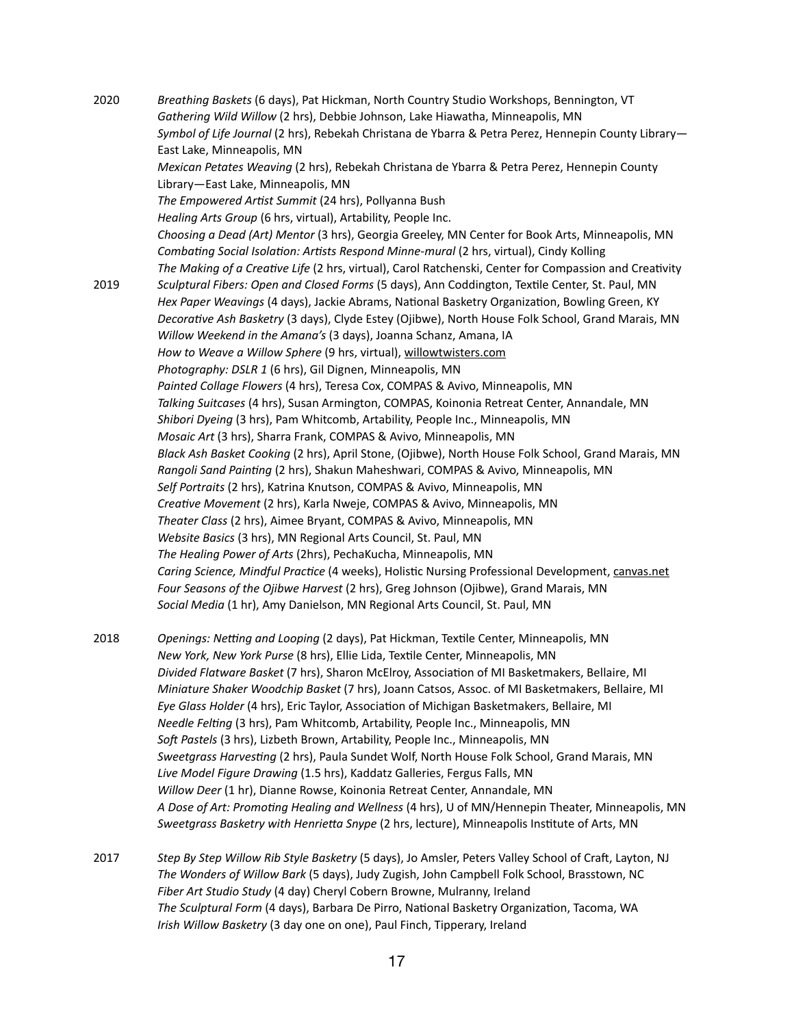2020 *Breathing Baskets* (6 days), Pat Hickman, North Country Studio Workshops, Bennington, VT *Gathering Wild Willow* (2 hrs), Debbie Johnson, Lake Hiawatha, Minneapolis, MN *Symbol of Life Journal* (2 hrs), Rebekah Christana de Ybarra & Petra Perez, Hennepin County Library— East Lake, Minneapolis, MN *Mexican Petates Weaving* (2 hrs), Rebekah Christana de Ybarra & Petra Perez, Hennepin County Library—East Lake, Minneapolis, MN *The Empowered Artist Summit* (24 hrs), Pollyanna Bush *Healing Arts Group* (6 hrs, virtual), Artability, People Inc. *Choosing a Dead (Art) Mentor* (3 hrs), Georgia Greeley, MN Center for Book Arts, Minneapolis, MN *Combating Social Isolation: Artists Respond Minne-mural* (2 hrs, virtual), Cindy Kolling *The Making of a Creative Life* (2 hrs, virtual), Carol Ratchenski, Center for Compassion and Creativity 2019 *Sculptural Fibers: Open and Closed Forms* (5 days), Ann Coddington, Textile Center, St. Paul, MN *Hex Paper Weavings* (4 days), Jackie Abrams, National Basketry Organization, Bowling Green, KY *Decorative Ash Basketry* (3 days), Clyde Estey (Ojibwe), North House Folk School, Grand Marais, MN *Willow Weekend in the Amana's* (3 days), Joanna Schanz, Amana, IA *How to Weave a Willow Sphere* (9 hrs, virtual), [willowtwisters.com](http://willowtwisters.com) *Photography: DSLR 1* (6 hrs), Gil Dignen, Minneapolis, MN *Painted Collage Flowers* (4 hrs), Teresa Cox, COMPAS & Avivo, Minneapolis, MN *Talking Suitcases* (4 hrs), Susan Armington, COMPAS, Koinonia Retreat Center, Annandale, MN *Shibori Dyeing* (3 hrs), Pam Whitcomb, Artability, People Inc., Minneapolis, MN *Mosaic Art* (3 hrs), Sharra Frank, COMPAS & Avivo, Minneapolis, MN *Black Ash Basket Cooking* (2 hrs), April Stone, (Ojibwe), North House Folk School, Grand Marais, MN *Rangoli Sand Painting* (2 hrs), Shakun Maheshwari, COMPAS & Avivo, Minneapolis, MN *Self Portraits* (2 hrs), Katrina Knutson, COMPAS & Avivo, Minneapolis, MN *Creative Movement* (2 hrs), Karla Nweje, COMPAS & Avivo, Minneapolis, MN *Theater Class* (2 hrs), Aimee Bryant, COMPAS & Avivo, Minneapolis, MN *Website Basics* (3 hrs), MN Regional Arts Council, St. Paul, MN *The Healing Power of Arts* (2hrs), PechaKucha, Minneapolis, MN *Caring Science, Mindful Practice* (4 weeks), Holistic Nursing Professional Development, [canvas.net](http://canvas.net) *Four Seasons of the Ojibwe Harvest* (2 hrs), Greg Johnson (Ojibwe), Grand Marais, MN *Social Media* (1 hr), Amy Danielson, MN Regional Arts Council, St. Paul, MN 2018 *Openings: Netting and Looping* (2 days), Pat Hickman, Textile Center, Minneapolis, MN *New York, New York Purse* (8 hrs), Ellie Lida, Textile Center, Minneapolis, MN *Divided Flatware Basket* (7 hrs), Sharon McElroy, Association of MI Basketmakers, Bellaire, MI

*Miniature Shaker Woodchip Basket* (7 hrs), Joann Catsos, Assoc. of MI Basketmakers, Bellaire, MI *Eye Glass Holder* (4 hrs), Eric Taylor, Association of Michigan Basketmakers, Bellaire, MI *Needle Felting* (3 hrs), Pam Whitcomb, Artability, People Inc., Minneapolis, MN *Soft Pastels* (3 hrs), Lizbeth Brown, Artability, People Inc., Minneapolis, MN *Sweetgrass Harvesting* (2 hrs), Paula Sundet Wolf, North House Folk School, Grand Marais, MN *Live Model Figure Drawing* (1.5 hrs), Kaddatz Galleries, Fergus Falls, MN *Willow Deer* (1 hr), Dianne Rowse, Koinonia Retreat Center, Annandale, MN *A Dose of Art: Promoting Healing and Wellness* (4 hrs), U of MN/Hennepin Theater, Minneapolis, MN *Sweetgrass Basketry with Henrietta Snype* (2 hrs, lecture), Minneapolis Institute of Arts, MN

2017 *Step By Step Willow Rib Style Basketry* (5 days), Jo Amsler, Peters Valley School of Craft, Layton, NJ *The Wonders of Willow Bark* (5 days), Judy Zugish, John Campbell Folk School, Brasstown, NC *Fiber Art Studio Study* (4 day) Cheryl Cobern Browne, Mulranny, Ireland *The Sculptural Form* (4 days), Barbara De Pirro, National Basketry Organization, Tacoma, WA *Irish Willow Basketry* (3 day one on one), Paul Finch, Tipperary, Ireland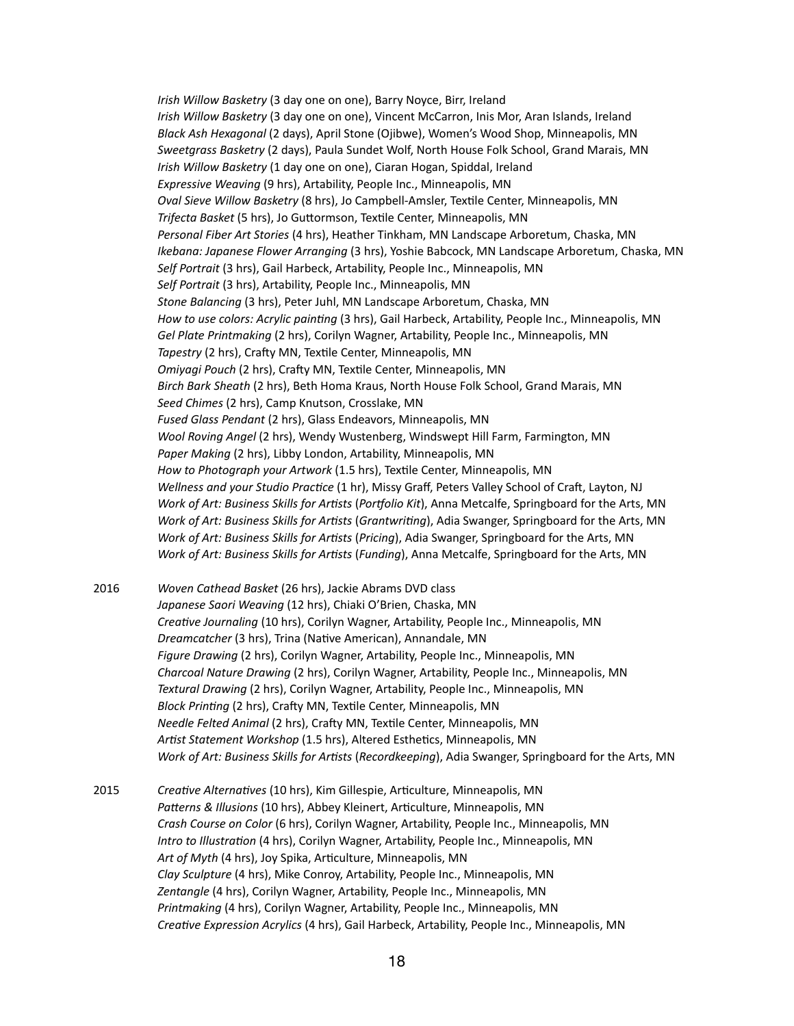*Irish Willow Basketry* (3 day one on one), Barry Noyce, Birr, Ireland *Irish Willow Basketry* (3 day one on one), Vincent McCarron, Inis Mor, Aran Islands, Ireland *Black Ash Hexagonal* (2 days), April Stone (Ojibwe), Women's Wood Shop, Minneapolis, MN *Sweetgrass Basketry* (2 days), Paula Sundet Wolf, North House Folk School, Grand Marais, MN *Irish Willow Basketry* (1 day one on one), Ciaran Hogan, Spiddal, Ireland *Expressive Weaving* (9 hrs), Artability, People Inc., Minneapolis, MN *Oval Sieve Willow Basketry* (8 hrs), Jo Campbell-Amsler, Textile Center, Minneapolis, MN *Trifecta Basket* (5 hrs), Jo Guttormson, Textile Center, Minneapolis, MN *Personal Fiber Art Stories* (4 hrs), Heather Tinkham, MN Landscape Arboretum, Chaska, MN *Ikebana: Japanese Flower Arranging* (3 hrs), Yoshie Babcock, MN Landscape Arboretum, Chaska, MN *Self Portrait* (3 hrs), Gail Harbeck, Artability, People Inc., Minneapolis, MN *Self Portrait* (3 hrs), Artability, People Inc., Minneapolis, MN *Stone Balancing* (3 hrs), Peter Juhl, MN Landscape Arboretum, Chaska, MN *How to use colors: Acrylic painting* (3 hrs), Gail Harbeck, Artability, People Inc., Minneapolis, MN *Gel Plate Printmaking* (2 hrs), Corilyn Wagner, Artability, People Inc., Minneapolis, MN *Tapestry* (2 hrs), Crafty MN, Textile Center, Minneapolis, MN *Omiyagi Pouch* (2 hrs), Crafty MN, Textile Center, Minneapolis, MN *Birch Bark Sheath* (2 hrs), Beth Homa Kraus, North House Folk School, Grand Marais, MN *Seed Chimes* (2 hrs), Camp Knutson, Crosslake, MN *Fused Glass Pendant* (2 hrs), Glass Endeavors, Minneapolis, MN *Wool Roving Angel* (2 hrs), Wendy Wustenberg, Windswept Hill Farm, Farmington, MN *Paper Making* (2 hrs), Libby London, Artability, Minneapolis, MN *How to Photograph your Artwork* (1.5 hrs), Textile Center, Minneapolis, MN *Wellness and your Studio Practice* (1 hr), Missy Graff, Peters Valley School of Craft, Layton, NJ *Work of Art: Business Skills for Artists* (*Portfolio Kit*), Anna Metcalfe, Springboard for the Arts, MN *Work of Art: Business Skills for Artists* (*Grantwriting*), Adia Swanger, Springboard for the Arts, MN *Work of Art: Business Skills for Artists* (*Pricing*), Adia Swanger, Springboard for the Arts, MN *Work of Art: Business Skills for Artists* (*Funding*), Anna Metcalfe, Springboard for the Arts, MN

2016 *Woven Cathead Basket* (26 hrs), Jackie Abrams DVD class *Japanese Saori Weaving* (12 hrs), Chiaki O'Brien, Chaska, MN *Creative Journaling* (10 hrs), Corilyn Wagner, Artability, People Inc., Minneapolis, MN *Dreamcatcher* (3 hrs), Trina (Native American), Annandale, MN *Figure Drawing* (2 hrs), Corilyn Wagner, Artability, People Inc., Minneapolis, MN *Charcoal Nature Drawing* (2 hrs), Corilyn Wagner, Artability, People Inc., Minneapolis, MN *Textural Drawing* (2 hrs), Corilyn Wagner, Artability, People Inc., Minneapolis, MN *Block Printing* (2 hrs), Crafty MN, Textile Center, Minneapolis, MN *Needle Felted Animal* (2 hrs), Crafty MN, Textile Center, Minneapolis, MN *Artist Statement Workshop* (1.5 hrs), Altered Esthetics, Minneapolis, MN *Work of Art: Business Skills for Artists* (*Recordkeeping*), Adia Swanger, Springboard for the Arts, MN

2015 *Creative Alternatives* (10 hrs), Kim Gillespie, Articulture, Minneapolis, MN *Patterns & Illusions* (10 hrs), Abbey Kleinert, Articulture, Minneapolis, MN *Crash Course on Color* (6 hrs), Corilyn Wagner, Artability, People Inc., Minneapolis, MN *Intro to Illustration* (4 hrs), Corilyn Wagner, Artability, People Inc., Minneapolis, MN *Art of Myth* (4 hrs), Joy Spika, Articulture, Minneapolis, MN *Clay Sculpture* (4 hrs), Mike Conroy, Artability, People Inc., Minneapolis, MN *Zentangle* (4 hrs), Corilyn Wagner, Artability, People Inc., Minneapolis, MN *Printmaking* (4 hrs), Corilyn Wagner, Artability, People Inc., Minneapolis, MN *Creative Expression Acrylics* (4 hrs), Gail Harbeck, Artability, People Inc., Minneapolis, MN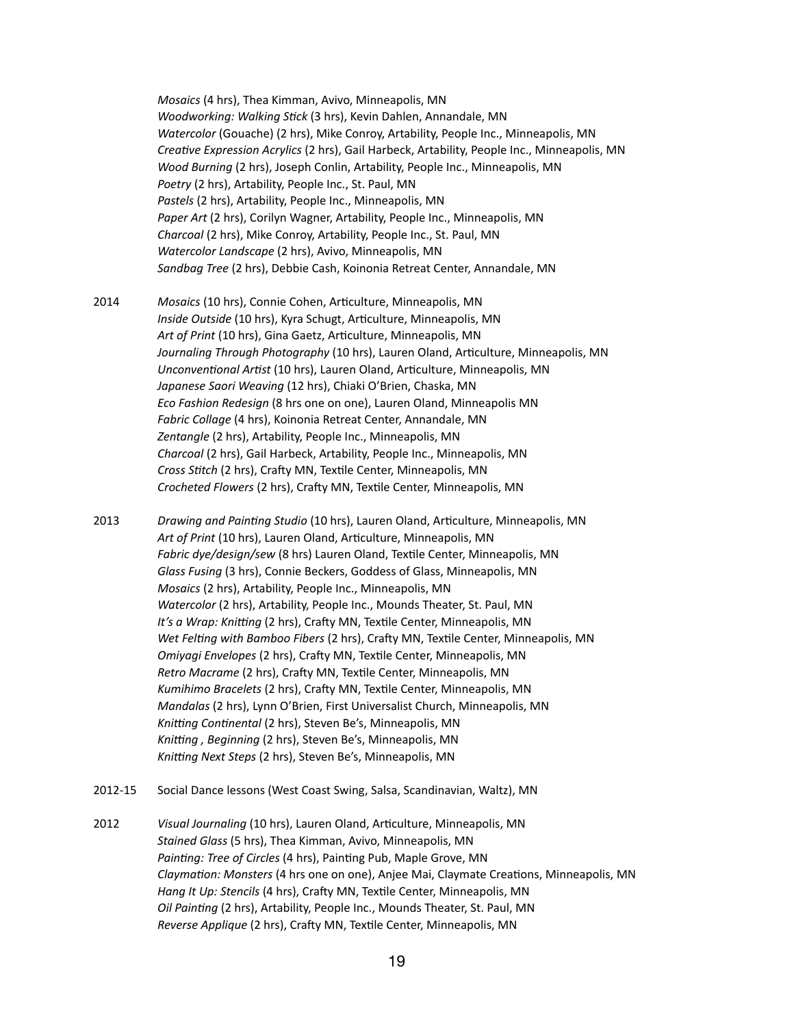*Mosaics* (4 hrs), Thea Kimman, Avivo, Minneapolis, MN *Woodworking: Walking Stick* (3 hrs), Kevin Dahlen, Annandale, MN *Watercolor* (Gouache) (2 hrs), Mike Conroy, Artability, People Inc., Minneapolis, MN *Creative Expression Acrylics* (2 hrs), Gail Harbeck, Artability, People Inc., Minneapolis, MN *Wood Burning* (2 hrs), Joseph Conlin, Artability, People Inc., Minneapolis, MN *Poetry* (2 hrs), Artability, People Inc., St. Paul, MN *Pastels* (2 hrs), Artability, People Inc., Minneapolis, MN *Paper Art* (2 hrs), Corilyn Wagner, Artability, People Inc., Minneapolis, MN *Charcoal* (2 hrs), Mike Conroy, Artability, People Inc., St. Paul, MN *Watercolor Landscape* (2 hrs), Avivo, Minneapolis, MN *Sandbag Tree* (2 hrs), Debbie Cash, Koinonia Retreat Center, Annandale, MN

2014 *Mosaics* (10 hrs), Connie Cohen, Articulture, Minneapolis, MN *Inside Outside* (10 hrs), Kyra Schugt, Articulture, Minneapolis, MN *Art of Print* (10 hrs), Gina Gaetz, Articulture, Minneapolis, MN *Journaling Through Photography* (10 hrs), Lauren Oland, Articulture, Minneapolis, MN *Unconventional Artist* (10 hrs), Lauren Oland, Articulture, Minneapolis, MN *Japanese Saori Weaving* (12 hrs), Chiaki O'Brien, Chaska, MN *Eco Fashion Redesign* (8 hrs one on one), Lauren Oland, Minneapolis MN *Fabric Collage* (4 hrs), Koinonia Retreat Center, Annandale, MN *Zentangle* (2 hrs), Artability, People Inc., Minneapolis, MN *Charcoal* (2 hrs), Gail Harbeck, Artability, People Inc., Minneapolis, MN *Cross Stitch* (2 hrs), Crafty MN, Textile Center, Minneapolis, MN *Crocheted Flowers* (2 hrs), Crafty MN, Textile Center, Minneapolis, MN

2013 *Drawing and Painting Studio* (10 hrs), Lauren Oland, Articulture, Minneapolis, MN *Art of Print* (10 hrs), Lauren Oland, Articulture, Minneapolis, MN *Fabric dye/design/sew* (8 hrs) Lauren Oland, Textile Center, Minneapolis, MN *Glass Fusing* (3 hrs), Connie Beckers, Goddess of Glass, Minneapolis, MN *Mosaics* (2 hrs), Artability, People Inc., Minneapolis, MN *Watercolor* (2 hrs), Artability, People Inc., Mounds Theater, St. Paul, MN *It's a Wrap: Knitting* (2 hrs), Crafty MN, Textile Center, Minneapolis, MN *Wet Felting with Bamboo Fibers* (2 hrs), Crafty MN, Textile Center, Minneapolis, MN *Omiyagi Envelopes* (2 hrs), Crafty MN, Textile Center, Minneapolis, MN *Retro Macrame* (2 hrs), Crafty MN, Textile Center, Minneapolis, MN *Kumihimo Bracelets* (2 hrs), Crafty MN, Textile Center, Minneapolis, MN *Mandalas* (2 hrs), Lynn O'Brien, First Universalist Church, Minneapolis, MN *Knitting Continental* (2 hrs), Steven Be's, Minneapolis, MN *Knitting , Beginning* (2 hrs), Steven Be's, Minneapolis, MN *Knitting Next Steps* (2 hrs), Steven Be's, Minneapolis, MN

- 2012-15 Social Dance lessons (West Coast Swing, Salsa, Scandinavian, Waltz), MN
- 2012 *Visual Journaling* (10 hrs), Lauren Oland, Articulture, Minneapolis, MN *Stained Glass* (5 hrs), Thea Kimman, Avivo, Minneapolis, MN *Painting: Tree of Circles* (4 hrs), Painting Pub, Maple Grove, MN *Claymation: Monsters* (4 hrs one on one), Anjee Mai, Claymate Creations, Minneapolis, MN *Hang It Up: Stencils* (4 hrs), Crafty MN, Textile Center, Minneapolis, MN *Oil Painting* (2 hrs), Artability, People Inc., Mounds Theater, St. Paul, MN *Reverse Applique* (2 hrs), Crafty MN, Textile Center, Minneapolis, MN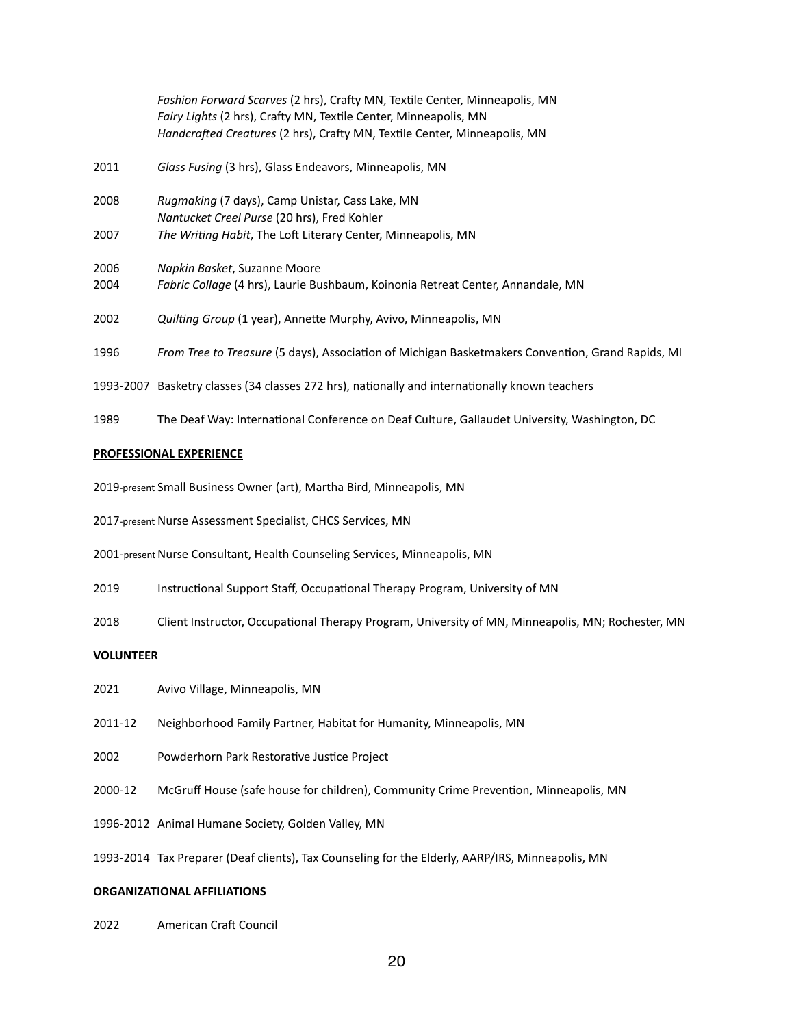|           | Fashion Forward Scarves (2 hrs), Crafty MN, Textile Center, Minneapolis, MN<br>Fairy Lights (2 hrs), Crafty MN, Textile Center, Minneapolis, MN |
|-----------|-------------------------------------------------------------------------------------------------------------------------------------------------|
|           | Handcrafted Creatures (2 hrs), Crafty MN, Textile Center, Minneapolis, MN                                                                       |
| 2011      | Glass Fusing (3 hrs), Glass Endeavors, Minneapolis, MN                                                                                          |
| 2008      | Rugmaking (7 days), Camp Unistar, Cass Lake, MN                                                                                                 |
|           | Nantucket Creel Purse (20 hrs), Fred Kohler                                                                                                     |
| 2007      | The Writing Habit, The Loft Literary Center, Minneapolis, MN                                                                                    |
| 2006      | Napkin Basket, Suzanne Moore                                                                                                                    |
| 2004      | Fabric Collage (4 hrs), Laurie Bushbaum, Koinonia Retreat Center, Annandale, MN                                                                 |
| 2002      | Quilting Group (1 year), Annette Murphy, Avivo, Minneapolis, MN                                                                                 |
| 1996      | From Tree to Treasure (5 days), Association of Michigan Basketmakers Convention, Grand Rapids, MI                                               |
| 1993-2007 | Basketry classes (34 classes 272 hrs), nationally and internationally known teachers                                                            |
| 1989      | The Deaf Way: International Conference on Deaf Culture, Gallaudet University, Washington, DC                                                    |

#### **PROFESSIONAL EXPERIENCE**

2019-present Small Business Owner (art), Martha Bird, Minneapolis, MN

2017-present Nurse Assessment Specialist, CHCS Services, MN

2001-present Nurse Consultant, Health Counseling Services, Minneapolis, MN

- 2019 Instructional Support Staff, Occupational Therapy Program, University of MN
- 2018 Client Instructor, Occupational Therapy Program, University of MN, Minneapolis, MN; Rochester, MN

#### **VOLUNTEER**

- 2021 Avivo Village, Minneapolis, MN
- 2011-12 Neighborhood Family Partner, Habitat for Humanity, Minneapolis, MN
- 2002 Powderhorn Park Restorative Justice Project
- 2000-12 McGruff House (safe house for children), Community Crime Prevention, Minneapolis, MN
- 1996-2012 Animal Humane Society, Golden Valley, MN

1993-2014 Tax Preparer (Deaf clients), Tax Counseling for the Elderly, AARP/IRS, Minneapolis, MN

### **ORGANIZATIONAL AFFILIATIONS**

2022 American Craft Council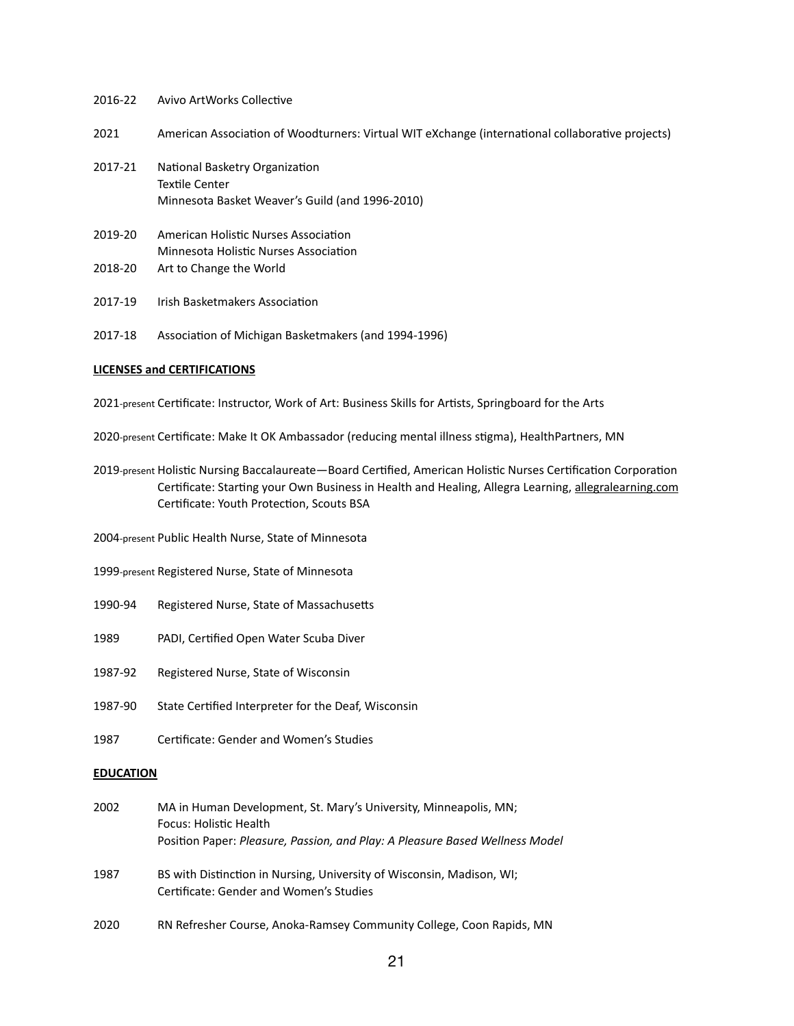## 2016-22 Avivo ArtWorks Collective

2021 American Association of Woodturners: Virtual WIT eXchange (international collaborative projects)

- 2017-21 National Basketry Organization Textile Center Minnesota Basket Weaver's Guild (and 1996-2010)
- 2019-20 American Holistic Nurses Association Minnesota Holistic Nurses Association 2018-20 Art to Change the World
- 2017-19 Irish Basketmakers Association
- 2017-18 Association of Michigan Basketmakers (and 1994-1996)

#### **LICENSES and CERTIFICATIONS**

2021-present Certificate: Instructor, Work of Art: Business Skills for Artists, Springboard for the Arts

2020-present Certificate: Make It OK Ambassador (reducing mental illness stigma), HealthPartners, MN

2019-present Holistic Nursing Baccalaureate—Board Certified, American Holistic Nurses Certification Corporation Certificate: Starting your Own Business in Health and Healing, Allegra Learning, [allegralearning.com](http://allegralearning.com) Certificate: Youth Protection, Scouts BSA

2004-present Public Health Nurse, State of Minnesota

- 1999-present Registered Nurse, State of Minnesota
- 1990-94 Registered Nurse, State of Massachusetts
- 1989 PADI, Certified Open Water Scuba Diver
- 1987-92 Registered Nurse, State of Wisconsin
- 1987-90 State Certified Interpreter for the Deaf, Wisconsin
- 1987 Certificate: Gender and Women's Studies

## **EDUCATION**

| 2002 | MA in Human Development, St. Mary's University, Minneapolis, MN;                                                 |
|------|------------------------------------------------------------------------------------------------------------------|
|      | Focus: Holistic Health                                                                                           |
|      | Position Paper: Pleasure, Passion, and Play: A Pleasure Based Wellness Model                                     |
| 1987 | BS with Distinction in Nursing, University of Wisconsin, Madison, WI;<br>Certificate: Gender and Women's Studies |
|      |                                                                                                                  |

2020 RN Refresher Course, Anoka-Ramsey Community College, Coon Rapids, MN